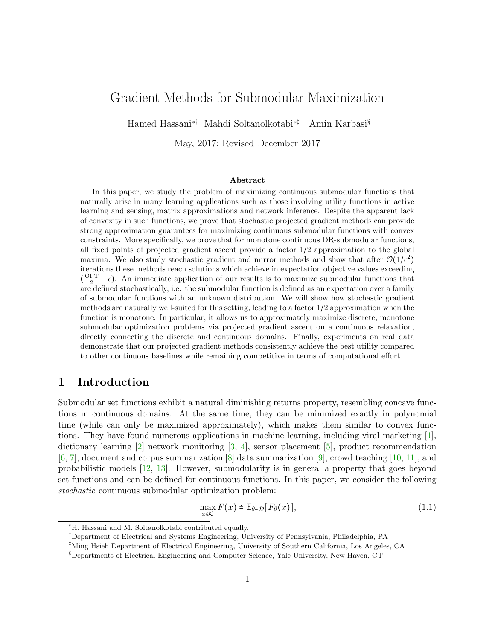# <span id="page-0-1"></span>Gradient Methods for Submodular Maximization

Hamed Hassani∗† Mahdi Soltanolkotabi∗‡ Amin Karbasi§

May, 2017; Revised December 2017

#### Abstract

In this paper, we study the problem of maximizing continuous submodular functions that naturally arise in many learning applications such as those involving utility functions in active learning and sensing, matrix approximations and network inference. Despite the apparent lack of convexity in such functions, we prove that stochastic projected gradient methods can provide strong approximation guarantees for maximizing continuous submodular functions with convex constraints. More specifically, we prove that for monotone continuous DR-submodular functions, all fixed points of projected gradient ascent provide a factor 1/2 approximation to the global maxima. We also study stochastic gradient and mirror methods and show that after  $\mathcal{O}(1/\epsilon^2)$ iterations these methods reach solutions which achieve in expectation objective values exceeding  $(\frac{OPT}{2} - \epsilon)$ . An immediate application of our results is to maximize submodular functions that are defined stochastically, i.e. the submodular function is defined as an expectation over a family of submodular functions with an unknown distribution. We will show how stochastic gradient methods are naturally well-suited for this setting, leading to a factor 1/2 approximation when the function is monotone. In particular, it allows us to approximately maximize discrete, monotone submodular optimization problems via projected gradient ascent on a continuous relaxation, directly connecting the discrete and continuous domains. Finally, experiments on real data demonstrate that our projected gradient methods consistently achieve the best utility compared to other continuous baselines while remaining competitive in terms of computational effort.

## 1 Introduction

Submodular set functions exhibit a natural diminishing returns property, resembling concave functions in continuous domains. At the same time, they can be minimized exactly in polynomial time (while can only be maximized approximately), which makes them similar to convex functions. They have found numerous applications in machine learning, including viral marketing [\[1\]](#page-19-0), dictionary learning [\[2\]](#page-19-1) network monitoring [\[3,](#page-19-2) [4\]](#page-19-3), sensor placement [\[5\]](#page-19-4), product recommendation  $[6, 7]$  $[6, 7]$  $[6, 7]$ , document and corpus summarization  $[8]$  data summarization  $[9]$ , crowd teaching  $[10, 11]$  $[10, 11]$  $[10, 11]$ , and probabilistic models [\[12,](#page-19-11) [13\]](#page-19-12). However, submodularity is in general a property that goes beyond set functions and can be defined for continuous functions. In this paper, we consider the following stochastic continuous submodular optimization problem:

<span id="page-0-0"></span>
$$
\max_{x \in \mathcal{K}} F(x) \doteq \mathbb{E}_{\theta \sim \mathcal{D}}[F_{\theta}(x)],\tag{1.1}
$$

<sup>∗</sup>H. Hassani and M. Soltanolkotabi contributed equally.

<sup>†</sup>Department of Electrical and Systems Engineering, University of Pennsylvania, Philadelphia, PA

<sup>‡</sup>Ming Hsieh Department of Electrical Engineering, University of Southern California, Los Angeles, CA

<sup>§</sup>Departments of Electrical Engineering and Computer Science, Yale University, New Haven, CT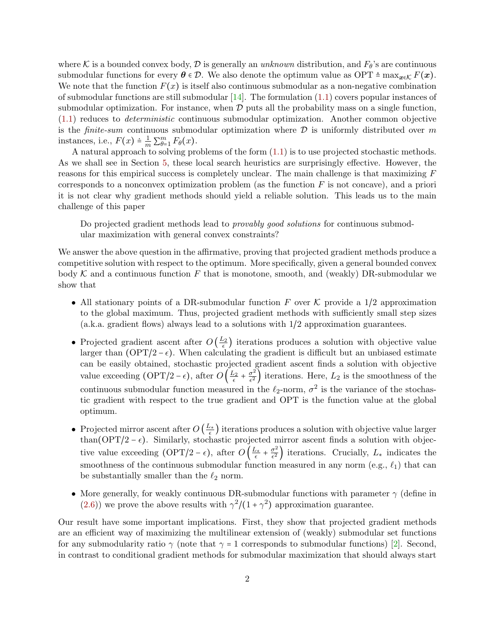where K is a bounded convex body, D is generally an unknown distribution, and  $F_{\theta}$ 's are continuous submodular functions for every  $\theta \in \mathcal{D}$ . We also denote the optimum value as OPT  $\triangleq \max_{x \in \mathcal{K}} F(x)$ . We note that the function  $F(x)$  is itself also continuous submodular as a non-negative combination of submodular functions are still submodular  $[14]$ . The formulation  $(1.1)$  covers popular instances of submodular optimization. For instance, when  $D$  puts all the probability mass on a single function, [\(1.1\)](#page-0-0) reduces to deterministic continuous submodular optimization. Another common objective is the *finite-sum* continuous submodular optimization where  $D$  is uniformly distributed over m instances, i.e.,  $F(x) \doteq \frac{1}{m} \sum_{\theta=1}^{m} F_{\theta}(x)$ .

A natural approach to solving problems of the form [\(1.1\)](#page-0-0) is to use projected stochastic methods. As we shall see in Section [5,](#page-9-0) these local search heuristics are surprisingly effective. However, the reasons for this empirical success is completely unclear. The main challenge is that maximizing F corresponds to a nonconvex optimization problem (as the function  $F$  is not concave), and a priori it is not clear why gradient methods should yield a reliable solution. This leads us to the main challenge of this paper

Do projected gradient methods lead to provably good solutions for continuous submodular maximization with general convex constraints?

We answer the above question in the affirmative, proving that projected gradient methods produce a competitive solution with respect to the optimum. More specifically, given a general bounded convex body K and a continuous function F that is monotone, smooth, and (weakly) DR-submodular we show that

- All stationary points of a DR-submodular function F over K provide a  $1/2$  approximation to the global maximum. Thus, projected gradient methods with sufficiently small step sizes (a.k.a. gradient flows) always lead to a solutions with 1/2 approximation guarantees.
- Projected gradient ascent after  $O\left(\frac{L_2}{\epsilon}\right)$  iterations produces a solution with objective value larger than (OPT/2 –  $\epsilon$ ). When calculating the gradient is difficult but an unbiased estimate can be easily obtained, stochastic projected gradient ascent finds a solution with objective value exceeding (OPT/2 –  $\epsilon$ ), after  $O\left(\frac{L_2}{\epsilon} + \frac{\sigma^2}{\epsilon^2}\right)$  $\frac{\sigma^2}{\epsilon^2}$  iterations. Here,  $L_2$  is the smoothness of the continuous submodular function measured in the  $\ell_2$ -norm,  $\sigma^2$  is the variance of the stochastic gradient with respect to the true gradient and OPT is the function value at the global optimum.
- Projected mirror ascent after  $O\left(\frac{L_*}{\epsilon}\right)$  iterations produces a solution with objective value larger than(OPT/2 –  $\epsilon$ ). Similarly, stochastic projected mirror ascent finds a solution with objective value exceeding (OPT/2 –  $\epsilon$ ), after  $O\left(\frac{L_*}{\epsilon} + \frac{\sigma^2}{\epsilon^2}\right)$  $\frac{\sigma^2}{\epsilon^2}$  ) iterations. Crucially,  $L_*$  indicates the smoothness of the continuous submodular function measured in any norm (e.g.,  $\ell_1$ ) that can be substantially smaller than the  $\ell_2$  norm.
- More generally, for weakly continuous DR-submodular functions with parameter  $\gamma$  (define in [\(2.6\)](#page-3-0)) we prove the above results with  $\gamma^2/(1+\gamma^2)$  approximation guarantee.

Our result have some important implications. First, they show that projected gradient methods are an efficient way of maximizing the multilinear extension of (weakly) submodular set functions for any submodularity ratio  $\gamma$  (note that  $\gamma = 1$  corresponds to submodular functions) [\[2\]](#page-19-1). Second, in contrast to conditional gradient methods for submodular maximization that should always start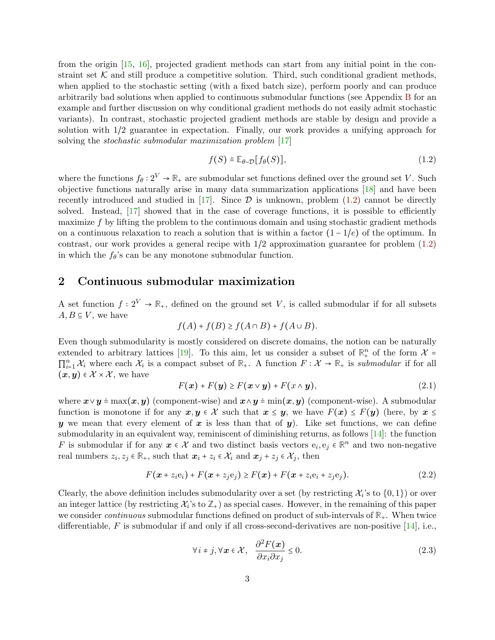from the origin [\[15,](#page-20-0) [16\]](#page-20-1), projected gradient methods can start from any initial point in the constraint set  $K$  and still produce a competitive solution. Third, such conditional gradient methods, when applied to the stochastic setting (with a fixed batch size), perform poorly and can produce arbitrarily bad solutions when applied to continuous submodular functions (see Appendix [B](#page-22-0) for an example and further discussion on why conditional gradient methods do not easily admit stochastic variants). In contrast, stochastic projected gradient methods are stable by design and provide a solution with 1/2 guarantee in expectation. Finally, our work provides a unifying approach for solving the *stochastic submodular maximization problem* [\[17\]](#page-20-2)

<span id="page-2-0"></span>
$$
f(S) = \mathbb{E}_{\theta \sim \mathcal{D}}[f_{\theta}(S)],\tag{1.2}
$$

where the functions  $f_{\theta}: 2^V \to \mathbb{R}_+$  are submodular set functions defined over the ground set V. Such objective functions naturally arise in many data summarization applications [\[18\]](#page-20-3) and have been recently introduced and studied in  $[17]$ . Since  $\mathcal D$  is unknown, problem [\(1.2\)](#page-2-0) cannot be directly solved. Instead, [\[17\]](#page-20-2) showed that in the case of coverage functions, it is possible to efficiently maximize f by lifting the problem to the continuous domain and using stochastic gradient methods on a continuous relaxation to reach a solution that is within a factor  $(1 - 1/e)$  of the optimum. In contrast, our work provides a general recipe with 1/2 approximation guarantee for problem [\(1.2\)](#page-2-0) in which the  $f_{\theta}$ 's can be any monotone submodular function.

## 2 Continuous submodular maximization

A set function  $f: 2^V \to \mathbb{R}_+$ , defined on the ground set V, is called submodular if for all subsets  $A, B \subseteq V$ , we have

$$
f(A) + f(B) \ge f(A \cap B) + f(A \cup B).
$$

Even though submodularity is mostly considered on discrete domains, the notion can be naturally extended to arbitrary lattices [\[19\]](#page-20-4). To this aim, let us consider a subset of  $\mathbb{R}^n_+$  of the form  $\mathcal{X} =$  $\prod_{i=1}^n \mathcal{X}_i$  where each  $\mathcal{X}_i$  is a compact subset of  $\mathbb{R}_+$ . A function  $F: \mathcal{X} \to \mathbb{R}_+$  is submodular if for all  $(x, y) \in \mathcal{X} \times \mathcal{X}$ , we have

<span id="page-2-1"></span>
$$
F(\mathbf{x}) + F(\mathbf{y}) \ge F(\mathbf{x} \vee \mathbf{y}) + F(\mathbf{x} \wedge \mathbf{y}), \tag{2.1}
$$

where  $x \vee y = \max(x, y)$  (component-wise) and  $x \wedge y = \min(x, y)$  (component-wise). A submodular function is monotone if for any  $x, y \in \mathcal{X}$  such that  $x \leq y$ , we have  $F(x) \leq F(y)$  (here, by  $x \leq y$ ) y we mean that every element of x is less than that of  $y$ ). Like set functions, we can define submodularity in an equivalent way, reminiscent of diminishing returns, as follows [\[14\]](#page-19-13): the function F is submodular if for any  $x \in \mathcal{X}$  and two distinct basis vectors  $e_i, e_j \in \mathbb{R}^n$  and two non-negative real numbers  $z_i, z_j \in \mathbb{R}_+$ , such that  $\boldsymbol{x}_i + z_i \in \mathcal{X}_i$  and  $\boldsymbol{x}_j + z_j \in \mathcal{X}_j$ , then

$$
F(\boldsymbol{x} + z_i \mathbf{e}_i) + F(\boldsymbol{x} + z_j \mathbf{e}_j) \geq F(\boldsymbol{x}) + F(\boldsymbol{x} + z_i \mathbf{e}_i + z_j \mathbf{e}_j). \tag{2.2}
$$

Clearly, the above definition includes submodularity over a set (by restricting  $\mathcal{X}_i$ 's to  $\{0,1\}$ ) or over an integer lattice (by restricting  $\mathcal{X}_i$ 's to  $\mathbb{Z}_+$ ) as special cases. However, in the remaining of this paper we consider continuous submodular functions defined on product of sub-intervals of **R**+. When twice differentiable, F is submodular if and only if all cross-second-derivatives are non-positive  $[14]$ , i.e.,

<span id="page-2-2"></span>
$$
\forall i \neq j, \forall \mathbf{x} \in \mathcal{X}, \quad \frac{\partial^2 F(\mathbf{x})}{\partial x_i \partial x_j} \le 0.
$$
 (2.3)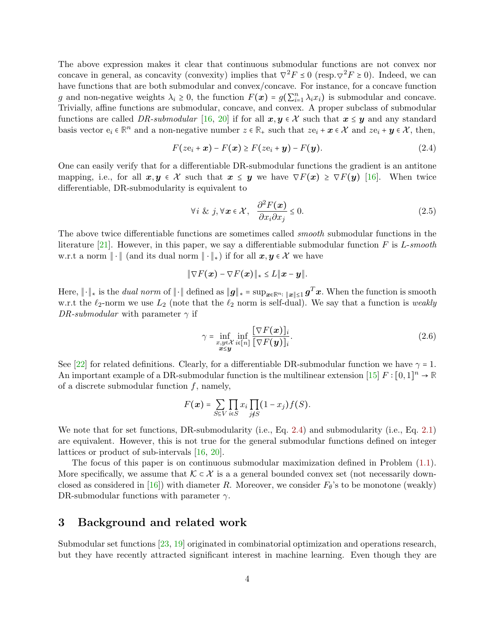The above expression makes it clear that continuous submodular functions are not convex nor concave in general, as concavity (convexity) implies that  $\nabla^2 F \leq 0$  (resp. $\nabla^2 F \geq 0$ ). Indeed, we can have functions that are both submodular and convex/concave. For instance, for a concave function g and non-negative weights  $\lambda_i \geq 0$ , the function  $F(\boldsymbol{x}) = g(\sum_{i=1}^n \lambda_i x_i)$  is submodular and concave. Trivially, affine functions are submodular, concave, and convex. A proper subclass of submodular functions are called DR-submodular [\[16,](#page-20-1) [20\]](#page-20-5) if for all  $x, y \in \mathcal{X}$  such that  $x \leq y$  and any standard basis vector  $e_i \in \mathbb{R}^n$  and a non-negative number  $z \in \mathbb{R}_+$  such that  $ze_i + x \in \mathcal{X}$  and  $ze_i + y \in \mathcal{X}$ , then,

<span id="page-3-1"></span>
$$
F(ze_i + \boldsymbol{x}) - F(\boldsymbol{x}) \ge F(ze_i + \boldsymbol{y}) - F(\boldsymbol{y}). \tag{2.4}
$$

One can easily verify that for a differentiable DR-submodular functions the gradient is an antitone mapping, i.e., for all  $x, y \in \mathcal{X}$  such that  $x \leq y$  we have  $\nabla F(x) \geq \nabla F(y)$  [\[16\]](#page-20-1). When twice differentiable, DR-submodularity is equivalent to

$$
\forall i \& j, \forall x \in \mathcal{X}, \quad \frac{\partial^2 F(x)}{\partial x_i \partial x_j} \le 0. \tag{2.5}
$$

The above twice differentiable functions are sometimes called smooth submodular functions in the literature [\[21\]](#page-20-6). However, in this paper, we say a differentiable submodular function F is L-smooth w.r.t a norm  $\|\cdot\|$  (and its dual norm  $\|\cdot\|_*$ ) if for all  $x, y \in \mathcal{X}$  we have

$$
\|\nabla F(\boldsymbol{x}) - \nabla F(\boldsymbol{x})\|_* \leq L\|\boldsymbol{x} - \boldsymbol{y}\|.
$$

Here,  $\|\cdot\|_*$  is the *dual norm* of  $\|\cdot\|$  defined as  $\|\boldsymbol{g}\|_* = \sup_{\boldsymbol{x} \in \mathbb{R}^n : \| \boldsymbol{x} \| \le 1} \boldsymbol{g}^T \boldsymbol{x}$ . When the function is smooth w.r.t the  $\ell_2$ -norm we use  $L_2$  (note that the  $\ell_2$  norm is self-dual). We say that a function is weakly DR-submodular with parameter  $\gamma$  if

<span id="page-3-0"></span>
$$
\gamma = \inf_{\substack{x,y \in \mathcal{X} \\ x \le y}} \inf_{i \in [n]} \frac{\left[\nabla F(x)\right]_i}{\left[\nabla F(y)\right]_i}.
$$
\n(2.6)

See [\[22\]](#page-20-7) for related definitions. Clearly, for a differentiable DR-submodular function we have  $\gamma = 1$ . An important example of a DR-submodular function is the multilinear extension  $[15]$   $F : [0,1]^n \to \mathbb{R}$ of a discrete submodular function  $f$ , namely,

$$
F(\boldsymbol{x}) = \sum_{S \subseteq V} \prod_{i \in S} x_i \prod_{j \notin S} (1 - x_j) f(S).
$$

We note that for set functions, DR-submodularity (i.e., Eq. [2.4\)](#page-3-1) and submodularity (i.e., Eq. [2.1\)](#page-2-1) are equivalent. However, this is not true for the general submodular functions defined on integer lattices or product of sub-intervals [\[16,](#page-20-1) [20\]](#page-20-5).

The focus of this paper is on continuous submodular maximization defined in Problem [\(1.1\)](#page-0-0). More specifically, we assume that  $\mathcal{K} \subset \mathcal{X}$  is a a general bounded convex set (not necessarily down-closed as considered in [\[16\]](#page-20-1)) with diameter R. Moreover, we consider  $F_{\theta}$ 's to be monotone (weakly) DR-submodular functions with parameter  $\gamma$ .

### 3 Background and related work

Submodular set functions [\[23,](#page-20-8) [19\]](#page-20-4) originated in combinatorial optimization and operations research, but they have recently attracted significant interest in machine learning. Even though they are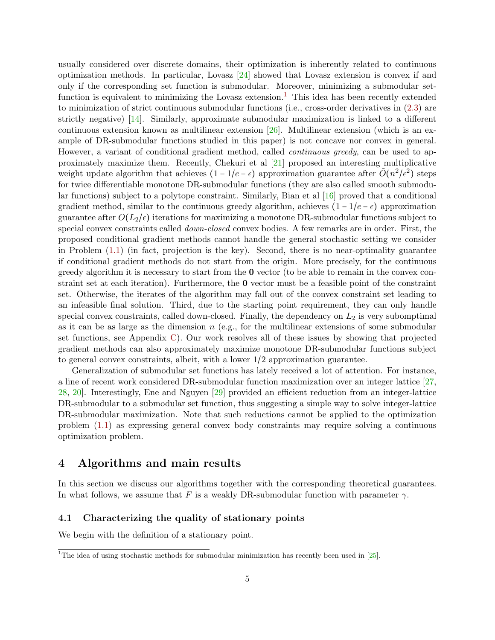usually considered over discrete domains, their optimization is inherently related to continuous optimization methods. In particular, Lovasz  $[24]$  showed that Lovasz extension is convex if and only if the corresponding set function is submodular. Moreover, minimizing a submodular set-function is equivalent to minimizing the Lovasz extension.<sup>[1](#page-0-1)</sup> This idea has been recently extended to minimization of strict continuous submodular functions (i.e., cross-order derivatives in [\(2.3\)](#page-2-2) are strictly negative) [\[14\]](#page-19-13). Similarly, approximate submodular maximization is linked to a different continuous extension known as multilinear extension  $[26]$ . Multilinear extension (which is an example of DR-submodular functions studied in this paper) is not concave nor convex in general. However, a variant of conditional gradient method, called *continuous greedy*, can be used to approximately maximize them. Recently, Chekuri et al [\[21\]](#page-20-6) proposed an interesting multiplicative weight update algorithm that achieves  $(1 - 1/e - \epsilon)$  approximation guarantee after  $\tilde{O}(n^2/\epsilon^2)$  steps for twice differentiable monotone DR-submodular functions (they are also called smooth submodular functions) subject to a polytope constraint. Similarly, Bian et al [\[16\]](#page-20-1) proved that a conditional gradient method, similar to the continuous greedy algorithm, achieves  $(1 - 1/e - \epsilon)$  approximation guarantee after  $O(L_2/\epsilon)$  iterations for maximizing a monotone DR-submodular functions subject to special convex constraints called *down-closed* convex bodies. A few remarks are in order. First, the proposed conditional gradient methods cannot handle the general stochastic setting we consider in Problem [\(1.1\)](#page-0-0) (in fact, projection is the key). Second, there is no near-optimality guarantee if conditional gradient methods do not start from the origin. More precisely, for the continuous greedy algorithm it is necessary to start from the 0 vector (to be able to remain in the convex constraint set at each iteration). Furthermore, the 0 vector must be a feasible point of the constraint set. Otherwise, the iterates of the algorithm may fall out of the convex constraint set leading to an infeasible final solution. Third, due to the starting point requirement, they can only handle special convex constraints, called down-closed. Finally, the dependency on  $L_2$  is very subomptimal as it can be as large as the dimension  $n$  (e.g., for the multilinear extensions of some submodular set functions, see Appendix [C\)](#page-23-0). Our work resolves all of these issues by showing that projected gradient methods can also approximately maximize monotone DR-submodular functions subject to general convex constraints, albeit, with a lower 1/2 approximation guarantee.

Generalization of submodular set functions has lately received a lot of attention. For instance, a line of recent work considered DR-submodular function maximization over an integer lattice [\[27,](#page-20-11) [28,](#page-20-12) [20\]](#page-20-5). Interestingly, Ene and Nguyen [\[29\]](#page-20-13) provided an efficient reduction from an integer-lattice DR-submodular to a submodular set function, thus suggesting a simple way to solve integer-lattice DR-submodular maximization. Note that such reductions cannot be applied to the optimization problem [\(1.1\)](#page-0-0) as expressing general convex body constraints may require solving a continuous optimization problem.

# 4 Algorithms and main results

In this section we discuss our algorithms together with the corresponding theoretical guarantees. In what follows, we assume that F is a weakly DR-submodular function with parameter  $\gamma$ .

### <span id="page-4-0"></span>4.1 Characterizing the quality of stationary points

We begin with the definition of a stationary point.

<sup>&</sup>lt;sup>1</sup>The idea of using stochastic methods for submodular minimization has recently been used in [\[25\]](#page-20-14).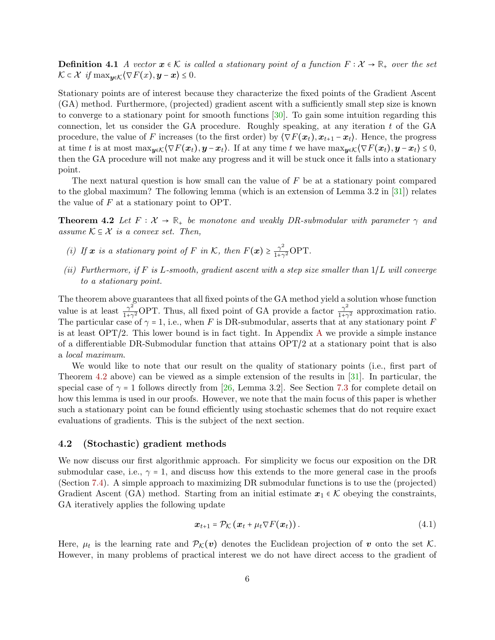**Definition 4.1** A vector  $x \in \mathcal{K}$  is called a stationary point of a function  $F: \mathcal{X} \to \mathbb{R}_+$  over the set  $\mathcal{K} \subset \mathcal{X}$  if  $\max_{\mathbf{v} \in \mathcal{K}} \langle \nabla F(x), \mathbf{y} - \mathbf{x} \rangle \leq 0$ .

Stationary points are of interest because they characterize the fixed points of the Gradient Ascent (GA) method. Furthermore, (projected) gradient ascent with a sufficiently small step size is known to converge to a stationary point for smooth functions [\[30\]](#page-20-15). To gain some intuition regarding this connection, let us consider the GA procedure. Roughly speaking, at any iteration  $t$  of the GA procedure, the value of F increases (to the first order) by  $\langle \nabla F(x_t), x_{t+1} - x_t \rangle$ . Hence, the progress at time t is at most  $\max_{y \in \mathcal{K}} \langle \nabla F(x_t), y - x_t \rangle$ . If at any time t we have  $\max_{y \in \mathcal{K}} \langle \nabla F(x_t), y - x_t \rangle \leq 0$ , then the GA procedure will not make any progress and it will be stuck once it falls into a stationary point.

The next natural question is how small can the value of  $F$  be at a stationary point compared to the global maximum? The following lemma (which is an extension of Lemma 3.2 in [\[31\]](#page-21-0)) relates the value of  $F$  at a stationary point to OPT.

**Theorem 4.2** Let  $F: \mathcal{X} \to \mathbb{R}_+$  be monotone and weakly DR-submodular with parameter  $\gamma$  and assume  $\mathcal{K} \subseteq \mathcal{X}$  is a convex set. Then,

- <span id="page-5-0"></span>(i) If x is a stationary point of F in K, then  $F(x) \geq \frac{\gamma^2}{1+\gamma}$  $\frac{\gamma^2}{1+\gamma^2}$ OPT.
- (ii) Furthermore, if  $F$  is L-smooth, gradient ascent with a step size smaller than  $1/L$  will converge to a stationary point.

The theorem above guarantees that all fixed points of the GA method yield a solution whose function value is at least  $\frac{\gamma^2}{1+\gamma}$  $\frac{\gamma^2}{1+\gamma^2}$ OPT. Thus, all fixed point of GA provide a factor  $\frac{\gamma^2}{1+\gamma^2}$  $\frac{\gamma^2}{1+\gamma^2}$  approximation ratio. The particular case of  $\gamma = 1$ , i.e., when F is DR-submodular, asserts that at any stationary point F is at least OPT/2. This lower bound is in fact tight. In Appendix [A](#page-21-1) we provide a simple instance of a differentiable DR-Submodular function that attains OPT/2 at a stationary point that is also a local maximum.

We would like to note that our result on the quality of stationary points (i.e., first part of Theorem [4.2](#page-5-0) above) can be viewed as a simple extension of the results in [\[31\]](#page-21-0). In particular, the special case of  $\gamma = 1$  follows directly from [\[26,](#page-20-10) Lemma 3.2]. See Section [7.3](#page-17-0) for complete detail on how this lemma is used in our proofs. However, we note that the main focus of this paper is whether such a stationary point can be found efficiently using stochastic schemes that do not require exact evaluations of gradients. This is the subject of the next section.

### 4.2 (Stochastic) gradient methods

We now discuss our first algorithmic approach. For simplicity we focus our exposition on the DR submodular case, i.e.,  $\gamma = 1$ , and discuss how this extends to the more general case in the proofs (Section [7.4\)](#page-17-1). A simple approach to maximizing DR submodular functions is to use the (projected) Gradient Ascent (GA) method. Starting from an initial estimate  $x_1 \in \mathcal{K}$  obeying the constraints, GA iteratively applies the following update

<span id="page-5-1"></span>
$$
\boldsymbol{x}_{t+1} = \mathcal{P}_{\mathcal{K}}\left(\boldsymbol{x}_t + \mu_t \nabla F(\boldsymbol{x}_t)\right). \tag{4.1}
$$

Here,  $\mu_t$  is the learning rate and  $\mathcal{P}_{\mathcal{K}}(\bm{v})$  denotes the Euclidean projection of  $\bm{v}$  onto the set  $\mathcal{K}$ . However, in many problems of practical interest we do not have direct access to the gradient of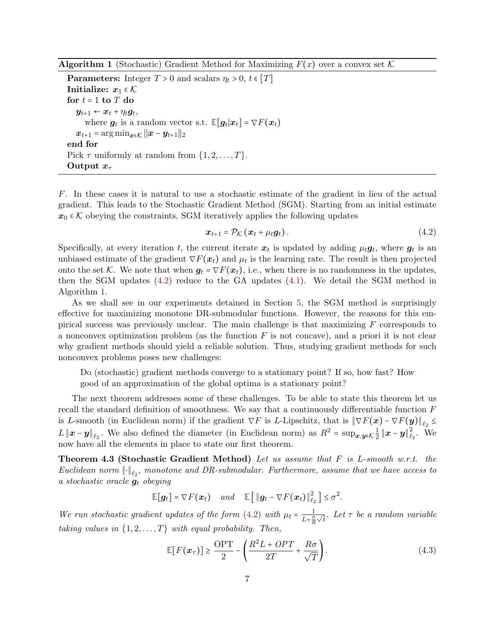<span id="page-6-1"></span>**Algorithm 1** (Stochastic) Gradient Method for Maximizing  $F(x)$  over a convex set K

**Parameters:** Integer  $T > 0$  and scalars  $\eta_t > 0$ ,  $t \in [T]$ Initialize:  $x_1 \in \mathcal{K}$ for  $t = 1$  to  $T$  do  $y_{t+1} \leftarrow x_t + \eta_t g_t,$ where  $g_t$  is a random vector s.t.  $\mathbb{E}[g_t|x_t] = \nabla F(x_t)$  $\boldsymbol{x}_{t+1} = \arg \min_{\boldsymbol{x} \in \mathcal{K}} ||\boldsymbol{x} - \boldsymbol{y}_{t+1}||_2$ end for Pick  $\tau$  uniformly at random from  $\{1, 2, \ldots, T\}$ . Output  $x_{\tau}$ 

F. In these cases it is natural to use a stochastic estimate of the gradient in lieu of the actual gradient. This leads to the Stochastic Gradient Method (SGM). Starting from an initial estimate  $x_0 \in K$  obeying the constraints, SGM iteratively applies the following updates

<span id="page-6-0"></span>
$$
\boldsymbol{x}_{t+1} = \mathcal{P}_{\mathcal{K}}\left(\boldsymbol{x}_t + \mu_t \boldsymbol{g}_t\right). \tag{4.2}
$$

Specifically, at every iteration t, the current iterate  $x_t$  is updated by adding  $\mu_t g_t$ , where  $g_t$  is an unbiased estimate of the gradient  $\nabla F(x_t)$  and  $\mu_t$  is the learning rate. The result is then projected onto the set K. We note that when  $g_t = \nabla F(x_t)$ , i.e., when there is no randomness in the updates, then the SGM updates  $(4.2)$  reduce to the GA updates  $(4.1)$ . We detail the SGM method in Algorithm [1.](#page-6-1)

As we shall see in our experiments detained in Section [5,](#page-9-0) the SGM method is surprisingly effective for maximizing monotone DR-submodular functions. However, the reasons for this empirical success was previously unclear. The main challenge is that maximizing  $F$  corresponds to a nonconvex optimization problem (as the function  $F$  is not concave), and a priori it is not clear why gradient methods should yield a reliable solution. Thus, studying gradient methods for such nonconvex problems poses new challenges:

Do (stochastic) gradient methods converge to a stationary point? If so, how fast? How good of an approximation of the global optima is a stationary point?

The next theorem addresses some of these challenges. To be able to state this theorem let us recall the standard definition of smoothness. We say that a continuously differentiable function F is L-smooth (in Euclidean norm) if the gradient  $\nabla F$  is L-Lipschitz, that is  $\|\nabla F(\bm{x}) - \nabla F(\bm{y})\|_{\ell_2} \leq$ L  $\|x-y\|_{\ell_2}$ . We also defined the diameter (in Euclidean norm) as  $R^2 = \sup_{x,y \in \mathcal{K}} \frac{1}{2}$  $\frac{1}{2}\left\Vert \boldsymbol{x}-\boldsymbol{y}\right\Vert _{\ell_{2}}^{2}$  $\frac{2}{\ell_2}$ . We now have all the elements in place to state our first theorem.

**Theorem 4.3 (Stochastic Gradient Method)** Let us assume that  $F$  is L-smooth w.r.t. the Euclidean norm  $\lVert \cdot \rVert_{\ell_2}$ , monotone and DR-submodular. Furthermore, assume that we have access to a stochastic oracle  $g_t$  obeying

<span id="page-6-2"></span> $\mathbb{E}[\mathbf{g}_t] = \nabla F(\mathbf{x}_t)$  and  $\mathbb{E}[\|\mathbf{g}_t - \nabla F(\mathbf{x}_t)\|_{\ell_2}^2] \leq \sigma^2$ .

We run stochastic gradient updates of the form [\(4.2\)](#page-6-0) with  $\mu_t = \frac{1}{t+\sigma}$  $L+\frac{\sigma}{R}$  $\frac{1}{\sqrt{t}}$ . Let  $\tau$  be a random variable taking values in  $\{1, 2, ..., T\}$  with equal probability. Then,

$$
\mathbb{E}[F(\boldsymbol{x}_{\tau})] \ge \frac{\text{OPT}}{2} - \left(\frac{R^2 L + OPT}{2T} + \frac{R\sigma}{\sqrt{T}}\right). \tag{4.3}
$$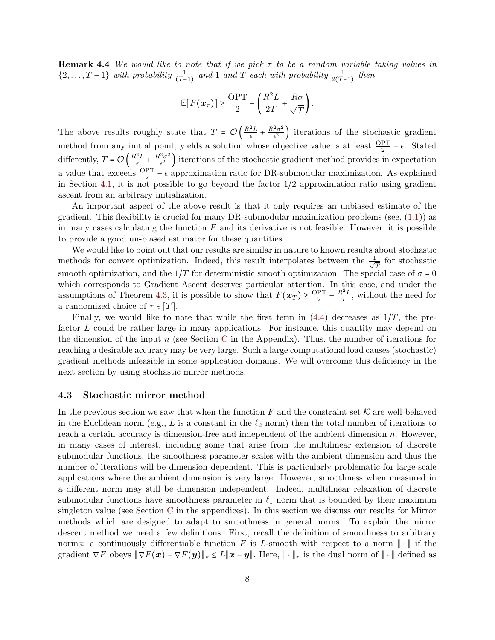**Remark 4.4** We would like to note that if we pick  $\tau$  to be a random variable taking values in  $\{2,\ldots,T-1\}$  with probability  $\frac{1}{(T-1)}$  and 1 and T each with probability  $\frac{1}{2(T-1)}$  then

$$
\mathbb{E}[F(\boldsymbol{x}_{\tau})] \geq \frac{\text{OPT}}{2} - \left(\frac{R^2L}{2T} + \frac{R\sigma}{\sqrt{T}}\right).
$$

The above results roughly state that  $T = \mathcal{O}\left(\frac{R^2L}{\epsilon}\right)$  $\frac{2L}{\epsilon} + \frac{R^2\sigma^2}{\epsilon^2}$  $\left(\frac{z_{\sigma^2}}{\epsilon^2}\right)$  iterations of the stochastic gradient method from any initial point, yields a solution whose objective value is at least  $\frac{OPT}{2} - \epsilon$ . Stated differently,  $T = \mathcal{O}\left(\frac{R^2L}{\epsilon}\right)$  $\frac{e^2L}{\epsilon} + \frac{R^2\sigma^2}{\epsilon^2}$  $\frac{2\sigma^2}{\epsilon^2}$  iterations of the stochastic gradient method provides in expectation a value that exceeds  $\frac{OPT}{2} - \epsilon$  approximation ratio for DR-submodular maximization. As explained in Section [4.1,](#page-4-0) it is not possible to go beyond the factor  $1/2$  approximation ratio using gradient ascent from an arbitrary initialization.

An important aspect of the above result is that it only requires an unbiased estimate of the gradient. This flexibility is crucial for many DR-submodular maximization problems (see,  $(1.1)$ ) as in many cases calculating the function  $F$  and its derivative is not feasible. However, it is possible to provide a good un-biased estimator for these quantities.

We would like to point out that our results are similar in nature to known results about stochastic methods for convex optimization. Indeed, this result interpolates between the  $\frac{1}{\ell}$  $\frac{1}{\overline{T}}$  for stochastic smooth optimization, and the  $1/T$  for deterministic smooth optimization. The special case of  $\sigma = 0$ which corresponds to Gradient Ascent deserves particular attention. In this case, and under the assumptions of Theorem [4.3,](#page-6-2) it is possible to show that  $F(\mathbf{x}_T) \geq \frac{\text{OPT}}{2}$  $rac{PT}{2} - \frac{R^2L}{T}$  $\frac{T^2 L}{T}$ , without the need for a randomized choice of  $\tau \in [T]$ .

Finally, we would like to note that while the first term in  $(4.4)$  decreases as  $1/T$ , the prefactor L could be rather large in many applications. For instance, this quantity may depend on the dimension of the input  $n$  (see Section [C](#page-23-0) in the Appendix). Thus, the number of iterations for reaching a desirable accuracy may be very large. Such a large computational load causes (stochastic) gradient methods infeasible in some application domains. We will overcome this deficiency in the next section by using stochastic mirror methods.

#### 4.3 Stochastic mirror method

In the previous section we saw that when the function  $F$  and the constraint set  $K$  are well-behaved in the Euclidean norm (e.g., L is a constant in the  $\ell_2$  norm) then the total number of iterations to reach a certain accuracy is dimension-free and independent of the ambient dimension n. However, in many cases of interest, including some that arise from the multilinear extension of discrete submodular functions, the smoothness parameter scales with the ambient dimension and thus the number of iterations will be dimension dependent. This is particularly problematic for large-scale applications where the ambient dimension is very large. However, smoothness when measured in a different norm may still be dimension independent. Indeed, multilinear relaxation of discrete submodular functions have smoothness parameter in  $\ell_1$  norm that is bounded by their maximum singleton value (see Section [C](#page-23-0) in the appendices). In this section we discuss our results for Mirror methods which are designed to adapt to smoothness in general norms. To explain the mirror descent method we need a few definitions. First, recall the definition of smoothness to arbitrary norms: a continuously differentiable function F is L-smooth with respect to a norm  $\|\cdot\|$  if the gradient  $\nabla F$  obeys  $\|\nabla F(\boldsymbol{x}) - \nabla F(\boldsymbol{y})\|_* \leq L \|\boldsymbol{x} - \boldsymbol{y}\|$ . Here,  $\|\cdot\|_*$  is the dual norm of  $\|\cdot\|$  defined as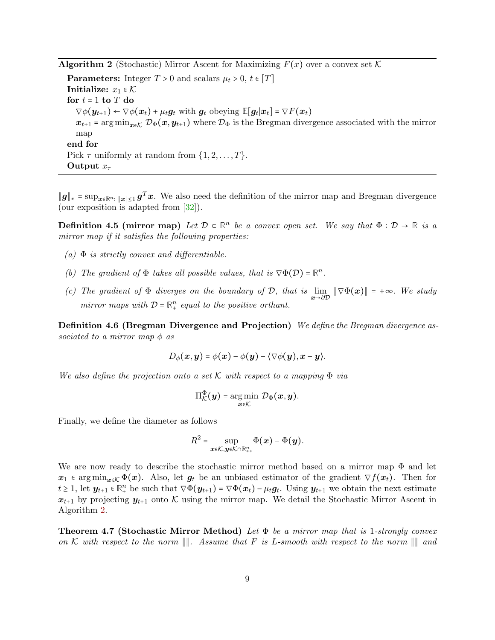<span id="page-8-0"></span>**Algorithm 2** (Stochastic) Mirror Ascent for Maximizing  $F(x)$  over a convex set K

**Parameters:** Integer  $T > 0$  and scalars  $\mu_t > 0$ ,  $t \in [T]$ Initialize:  $x_1 \in \mathcal{K}$ for  $t = 1$  to  $T$  do  $\nabla \phi(\mathbf{y}_{t+1}) \leftarrow \nabla \phi(\mathbf{x}_t) + \mu_t \mathbf{g}_t$  with  $\mathbf{g}_t$  obeying  $\mathbb{E}[\mathbf{g}_t | \mathbf{x}_t] = \nabla F(\mathbf{x}_t)$  $x_{t+1}$  = arg min<sub> $x \in \mathcal{D}_{\Phi}(x, y_{t+1})$  where  $\mathcal{D}_{\Phi}$  is the Bregman divergence associated with the mirror</sub> map end for Pick  $\tau$  uniformly at random from  $\{1, 2, \ldots, T\}$ . Output  $x_{\tau}$ 

∥g∥<sup>∗</sup> = supx∈**R**n<sup>∶</sup> <sup>∥</sup>x∥≤<sup>1</sup> g <sup>T</sup>x. We also need the definition of the mirror map and Bregman divergence (our exposition is adapted from [\[32\]](#page-21-2)).

**Definition 4.5 (mirror map)** Let  $\mathcal{D} \subset \mathbb{R}^n$  be a convex open set. We say that  $\Phi : \mathcal{D} \to \mathbb{R}$  is a mirror map if it satisfies the following properties:

- $(a)$   $\Phi$  is strictly convex and differentiable.
- (b) The gradient of  $\Phi$  takes all possible values, that is  $\nabla \Phi(\mathcal{D}) = \mathbb{R}^n$ .
- (c) The gradient of  $\Phi$  diverges on the boundary of  $\mathcal{D}$ , that is  $\lim_{x\to\partial\mathcal{D}} \|\nabla \Phi(x)\| = +\infty$ . We study mirror maps with  $D = \mathbb{R}^n_+$  equal to the positive orthant.

Definition 4.6 (Bregman Divergence and Projection) We define the Bregman divergence associated to a mirror map  $\phi$  as

$$
D_{\phi}(\boldsymbol{x},\boldsymbol{y}) = \phi(\boldsymbol{x}) - \phi(\boldsymbol{y}) - \langle \nabla \phi(\boldsymbol{y}), \boldsymbol{x} - \boldsymbol{y} \rangle.
$$

We also define the projection onto a set K with respect to a mapping  $\Phi$  via

$$
\Pi^{\Phi}_{\mathcal{K}}(\boldsymbol{y}) = \argmin_{\boldsymbol{x} \in \mathcal{K}} \mathcal{D}_{\Phi}(\boldsymbol{x}, \boldsymbol{y}).
$$

Finally, we define the diameter as follows

$$
R^2 = \sup_{\boldsymbol{x} \in \mathcal{K}, \boldsymbol{y} \in \mathcal{K} \cap \mathbb{R}_{++}^n} \Phi(\boldsymbol{x}) - \Phi(\boldsymbol{y}).
$$

We are now ready to describe the stochastic mirror method based on a mirror map  $\Phi$  and let  $x_1 \in \arg\min_{x \in \mathcal{K}} \Phi(x)$ . Also, let  $g_t$  be an unbiased estimator of the gradient  $\nabla f(x_t)$ . Then for  $t \geq 1$ , let  $y_{t+1} \in \mathbb{R}^n_+$  be such that  $\nabla \Phi(y_{t+1}) = \nabla \Phi(x_t) - \mu_t g_t$ . Using  $y_{t+1}$  we obtain the next estimate  $x_{t+1}$  by projecting  $y_{t+1}$  onto K using the mirror map. We detail the Stochastic Mirror Ascent in Algorithm [2.](#page-8-0)

<span id="page-8-1"></span>**Theorem 4.7 (Stochastic Mirror Method)** Let  $\Phi$  be a mirror map that is 1-strongly convex on K with respect to the norm  $\Vert\Vert$ . Assume that F is L-smooth with respect to the norm  $\Vert\Vert$  and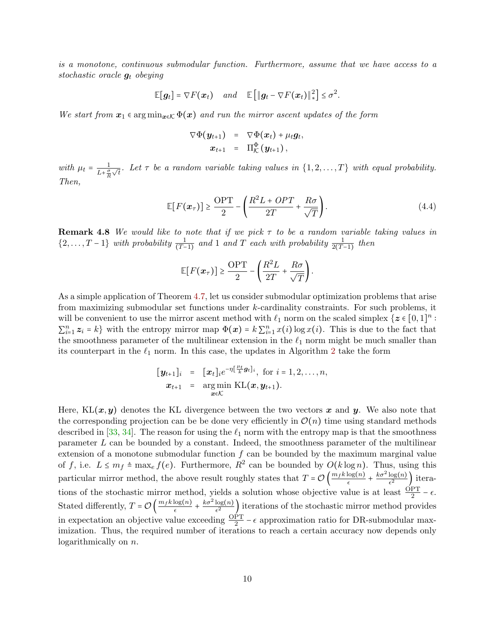is a monotone, continuous submodular function. Furthermore, assume that we have access to a stochastic oracle  $g_t$  obeying

$$
\mathbb{E}[\boldsymbol{g}_t] = \nabla F(\boldsymbol{x}_t) \quad and \quad \mathbb{E}[\|\boldsymbol{g}_t - \nabla F(\boldsymbol{x}_t)\|_{*}^2] \leq \sigma^2.
$$

We start from  $x_1 \in \arg\min_{x \in \mathcal{K}} \Phi(x)$  and run the mirror ascent updates of the form

<span id="page-9-1"></span>
$$
\nabla \Phi(\boldsymbol{y}_{t+1}) = \nabla \Phi(\boldsymbol{x}_t) + \mu_t \boldsymbol{g}_t,
$$
  

$$
\boldsymbol{x}_{t+1} = \Pi_K^{\Phi}(\boldsymbol{y}_{t+1}),
$$

with  $\mu_t = \frac{1}{1+\sigma}$  $L+\frac{\sigma}{R}$  $\overline{\sqrt{t}}$ . Let  $\tau$  be a random variable taking values in  $\{1, 2, \ldots, T\}$  with equal probability. Then,

$$
\mathbb{E}[F(x_{\tau})] \ge \frac{\text{OPT}}{2} - \left(\frac{R^2 L + OPT}{2T} + \frac{R\sigma}{\sqrt{T}}\right). \tag{4.4}
$$

**Remark 4.8** We would like to note that if we pick  $\tau$  to be a random variable taking values in  $\{2,\ldots,T-1\}$  with probability  $\frac{1}{(T-1)}$  and 1 and T each with probability  $\frac{1}{2(T-1)}$  then

$$
\mathbb{E}[F(\boldsymbol{x}_{\tau})] \geq \frac{\text{OPT}}{2} - \left(\frac{R^2L}{2T} + \frac{R\sigma}{\sqrt{T}}\right).
$$

As a simple application of Theorem [4.7,](#page-8-1) let us consider submodular optimization problems that arise from maximizing submodular set functions under k-cardinality constraints. For such problems, it will be convenient to use the mirror ascent method with  $\ell_1$  norm on the scaled simplex  $\{z \in [0,1]^n :$  $\sum_{i=1}^n z_i = k$  with the entropy mirror map  $\Phi(\boldsymbol{x}) = k \sum_{i=1}^n x(i) \log x(i)$ . This is due to the fact that the smoothness parameter of the multilinear extension in the  $\ell_1$  norm might be much smaller than its counterpart in the  $\ell_1$  norm. In this case, the updates in Algorithm [2](#page-8-0) take the form

$$
\begin{array}{rcl}\n[\mathbf{y}_{t+1}]_i & = & [\mathbf{x}_t]_i e^{-\eta[\frac{\mu_t}{k} \mathbf{g}_t]_i}, \text{ for } i = 1, 2, \ldots, n, \\
\mathbf{x}_{t+1} & = & \underset{\mathbf{x} \in \mathcal{K}}{\arg \min} \ \text{KL}(\mathbf{x}, \mathbf{y}_{t+1}).\n\end{array}
$$

<span id="page-9-0"></span>Here,  $KL(x, y)$  denotes the KL divergence between the two vectors x and y. We also note that the corresponding projection can be be done very efficiently in  $\mathcal{O}(n)$  time using standard methods described in [\[33,](#page-21-3) [34\]](#page-21-4). The reason for using the  $\ell_1$  norm with the entropy map is that the smoothness parameter L can be bounded by a constant. Indeed, the smoothness parameter of the multilinear extension of a monotone submodular function  $f$  can be bounded by the maximum marginal value of f, i.e.  $L \leq m_f \triangleq \max_e f(e)$ . Furthermore,  $R^2$  can be bounded by  $O(k \log n)$ . Thus, using this particular mirror method, the above result roughly states that  $T = \mathcal{O}\left(\frac{m_f k \log(n)}{\epsilon}\right)$  $\frac{\log(n)}{\epsilon} + \frac{k\sigma^2 \log(n)}{\epsilon^2}$  $\frac{\log(n)}{\epsilon^2}$ ) iterations of the stochastic mirror method, yields a solution whose objective value is at least  $\frac{OPT}{2} - \epsilon$ . 2 Stated differently,  $T = \mathcal{O}\left(\frac{m_f k \log(n)}{\epsilon}\right)$  $\frac{\log(n)}{\epsilon} + \frac{k\sigma^2 \log(n)}{\epsilon^2}$  $\frac{\log(n)}{\epsilon^2}$  iterations of the stochastic mirror method provides in expectation an objective value exceeding  $\frac{OPT}{2} - \epsilon$  approximation ratio for DR-submodular maximization. Thus, the required number of iterations to reach a certain accuracy now depends only logarithmically on  $n$ .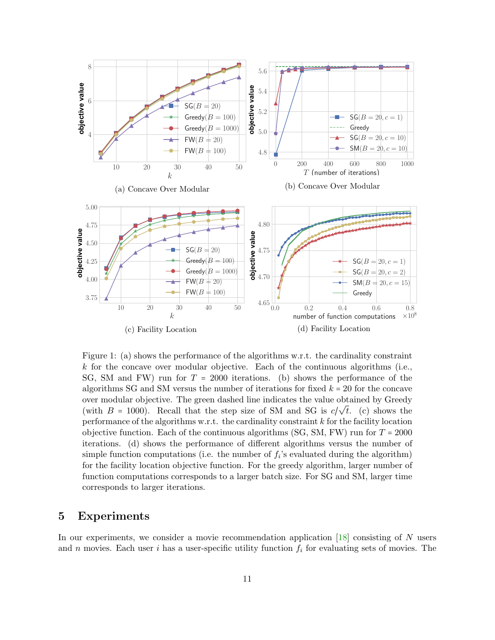<span id="page-10-0"></span>

Figure 1: (a) shows the performance of the algorithms w.r.t. the cardinality constraint  $k$  for the concave over modular objective. Each of the continuous algorithms (i.e., SG, SM and FW) run for  $T = 2000$  iterations. (b) shows the performance of the algorithms SG and SM versus the number of iterations for fixed  $k = 20$  for the concave over modular objective. The green dashed line indicates the value obtained by Greedy (with  $B = 1000$ ). Recall that the step size of SM and SG is  $c/\sqrt{t}$ . (c) shows the performance of the algorithms w.r.t. the cardinality constraint  $k$  for the facility location objective function. Each of the continuous algorithms (SG, SM, FW) run for  $T = 2000$ iterations. (d) shows the performance of different algorithms versus the number of simple function computations (i.e. the number of  $f_i$ 's evaluated during the algorithm) for the facility location objective function. For the greedy algorithm, larger number of function computations corresponds to a larger batch size. For SG and SM, larger time corresponds to larger iterations.

## 5 Experiments

In our experiments, we consider a movie recommendation application  $[18]$  consisting of N users and n movies. Each user i has a user-specific utility function  $f_i$  for evaluating sets of movies. The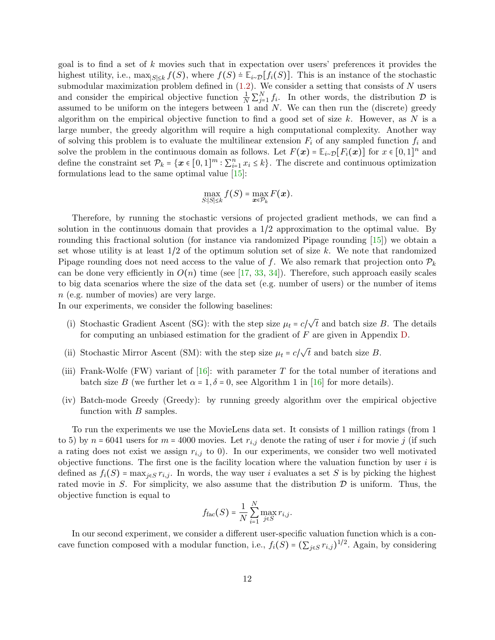goal is to find a set of  $k$  movies such that in expectation over users' preferences it provides the highest utility, i.e.,  $\max_{|S| \leq k} f(S)$ , where  $f(S) = \mathbb{E}_{i \sim \mathcal{D}}[f_i(S)]$ . This is an instance of the stochastic submodular maximization problem defined in  $(1.2)$ . We consider a setting that consists of N users and consider the empirical objective function  $\frac{1}{N}\sum_{j=1}^{N}f_i$ . In other words, the distribution  $\mathcal{D}$  is assumed to be uniform on the integers between 1 and  $N$ . We can then run the (discrete) greedy algorithm on the empirical objective function to find a good set of size  $k$ . However, as N is a large number, the greedy algorithm will require a high computational complexity. Another way of solving this problem is to evaluate the multilinear extension  $F_i$  of any sampled function  $f_i$  and solve the problem in the continuous domain as follows. Let  $F(\mathbf{x}) = \mathbb{E}_{i \sim \mathcal{D}}[F_i(\mathbf{x})]$  for  $x \in [0,1]^n$  and define the constraint set  $\mathcal{P}_k = \{ \mathbf{x} \in [0,1]^m : \sum_{i=1}^n x_i \leq k \}$ . The discrete and continuous optimization formulations lead to the same optimal value [\[15\]](#page-20-0):

$$
\max_{S:|S|\leq k} f(S) = \max_{\boldsymbol{x}\in\mathcal{P}_k} F(\boldsymbol{x}).
$$

Therefore, by running the stochastic versions of projected gradient methods, we can find a solution in the continuous domain that provides a 1/2 approximation to the optimal value. By rounding this fractional solution (for instance via randomized Pipage rounding [\[15\]](#page-20-0)) we obtain a set whose utility is at least  $1/2$  of the optimum solution set of size k. We note that randomized Pipage rounding does not need access to the value of f. We also remark that projection onto  $\mathcal{P}_k$ can be done very efficiently in  $O(n)$  time (see [\[17,](#page-20-2) [33,](#page-21-3) [34\]](#page-21-4)). Therefore, such approach easily scales to big data scenarios where the size of the data set (e.g. number of users) or the number of items n (e.g. number of movies) are very large.

In our experiments, we consider the following baselines:

- (i) Stochastic Gradient Ascent (SG): with the step size  $\mu_t = c/$ √ t and batch size B. The details for computing an unbiased estimation for the gradient of F are given in Appendix [D.](#page-23-1)
- (ii) Stochastic Mirror Ascent (SM): with the step size  $\mu_t = c/$ √  $t$  and batch size  $B$ .
- (iii) Frank-Wolfe (FW) variant of  $[16]$ : with parameter T for the total number of iterations and batch size B (we further let  $\alpha = 1, \delta = 0$ , see Algorithm 1 in [\[16\]](#page-20-1) for more details).
- (iv) Batch-mode Greedy (Greedy): by running greedy algorithm over the empirical objective function with  $B$  samples.

To run the experiments we use the MovieLens data set. It consists of 1 million ratings (from 1 to 5) by  $n = 6041$  users for  $m = 4000$  movies. Let  $r_{i,j}$  denote the rating of user i for movie j (if such a rating does not exist we assign  $r_{i,j}$  to 0). In our experiments, we consider two well motivated objective functions. The first one is the facility location where the valuation function by user  $i$  is defined as  $f_i(S) = \max_{j \in S} r_{i,j}$ . In words, the way user i evaluates a set S is by picking the highest rated movie in S. For simplicity, we also assume that the distribution  $\mathcal D$  is uniform. Thus, the objective function is equal to

$$
f_{\text{fac}}(S) = \frac{1}{N} \sum_{i=1}^{N} \max_{j \in S} r_{i,j}.
$$

In our second experiment, we consider a different user-specific valuation function which is a concave function composed with a modular function, i.e.,  $f_i(S) = (\sum_{j \in S} r_{i,j})^{1/2}$ . Again, by considering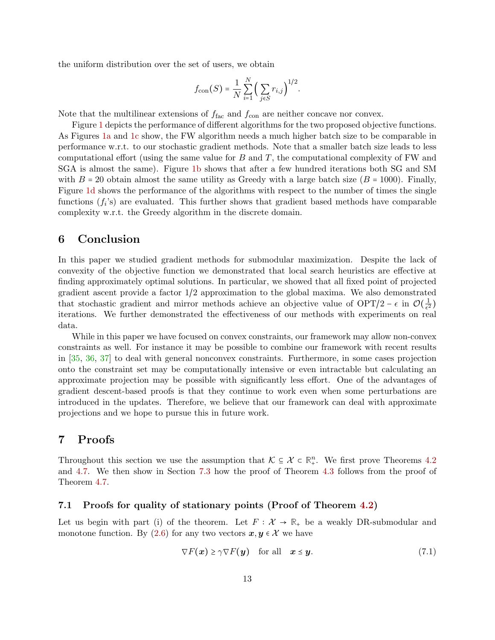the uniform distribution over the set of users, we obtain

$$
f_{\text{con}}(S) = \frac{1}{N} \sum_{i=1}^{N} \left( \sum_{j \in S} r_{i,j} \right)^{1/2}.
$$

Note that the multilinear extensions of  $f_{\text{fac}}$  and  $f_{\text{con}}$  are neither concave nor convex.

Figure [1](#page-10-0) depicts the performance of different algorithms for the two proposed objective functions. As Figures [1a](#page-10-0) and [1c](#page-10-0) show, the FW algorithm needs a much higher batch size to be comparable in performance w.r.t. to our stochastic gradient methods. Note that a smaller batch size leads to less computational effort (using the same value for  $B$  and  $T$ , the computational complexity of FW and SGA is almost the same). Figure [1b](#page-10-0) shows that after a few hundred iterations both SG and SM with  $B = 20$  obtain almost the same utility as Greedy with a large batch size  $(B = 1000)$ . Finally, Figure [1d](#page-10-0) shows the performance of the algorithms with respect to the number of times the single functions  $(f_i)$  are evaluated. This further shows that gradient based methods have comparable complexity w.r.t. the Greedy algorithm in the discrete domain.

## 6 Conclusion

In this paper we studied gradient methods for submodular maximization. Despite the lack of convexity of the objective function we demonstrated that local search heuristics are effective at finding approximately optimal solutions. In particular, we showed that all fixed point of projected gradient ascent provide a factor 1/2 approximation to the global maxima. We also demonstrated that stochastic gradient and mirror methods achieve an objective value of OPT/2 –  $\epsilon$  in  $\mathcal{O}(\frac{1}{\epsilon^2})$  $\frac{1}{\epsilon^2}$ iterations. We further demonstrated the effectiveness of our methods with experiments on real data.

While in this paper we have focused on convex constraints, our framework may allow non-convex constraints as well. For instance it may be possible to combine our framework with recent results in [\[35,](#page-21-5) [36,](#page-21-6) [37\]](#page-21-7) to deal with general nonconvex constraints. Furthermore, in some cases projection onto the constraint set may be computationally intensive or even intractable but calculating an approximate projection may be possible with significantly less effort. One of the advantages of gradient descent-based proofs is that they continue to work even when some perturbations are introduced in the updates. Therefore, we believe that our framework can deal with approximate projections and we hope to pursue this in future work.

# 7 Proofs

Throughout this section we use the assumption that  $K \subseteq \mathcal{X} \subset \mathbb{R}^n_+$ . We first prove Theorems [4.2](#page-5-0) and [4.7.](#page-8-1) We then show in Section [7.3](#page-17-0) how the proof of Theorem [4.3](#page-6-2) follows from the proof of Theorem [4.7.](#page-8-1)

#### 7.1 Proofs for quality of stationary points (Proof of Theorem [4.2\)](#page-5-0)

Let us begin with part (i) of the theorem. Let  $F : \mathcal{X} \to \mathbb{R}$  be a weakly DR-submodular and monotone function. By [\(2.6\)](#page-3-0) for any two vectors  $x, y \in \mathcal{X}$  we have

<span id="page-12-0"></span>
$$
\nabla F(\mathbf{x}) \ge \gamma \nabla F(\mathbf{y}) \quad \text{for all} \quad \mathbf{x} \le \mathbf{y}.\tag{7.1}
$$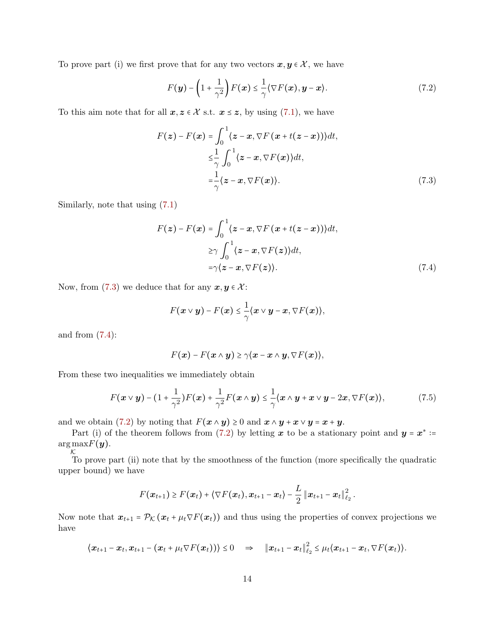To prove part (i) we first prove that for any two vectors  $x, y \in \mathcal{X}$ , we have

<span id="page-13-2"></span>
$$
F(\mathbf{y}) - \left(1 + \frac{1}{\gamma^2}\right) F(\mathbf{x}) \le \frac{1}{\gamma} \langle \nabla F(\mathbf{x}), \mathbf{y} - \mathbf{x} \rangle. \tag{7.2}
$$

To this aim note that for all  $x, z \in \mathcal{X}$  s.t.  $x \leq z$ , by using [\(7.1\)](#page-12-0), we have

<span id="page-13-0"></span>
$$
F(z) - F(x) = \int_0^1 \langle z - x, \nabla F(x + t(z - x)) \rangle dt,
$$
  
\n
$$
\leq \frac{1}{\gamma} \int_0^1 \langle z - x, \nabla F(x) \rangle dt,
$$
  
\n
$$
= \frac{1}{\gamma} \langle z - x, \nabla F(x) \rangle.
$$
 (7.3)

Similarly, note that using [\(7.1\)](#page-12-0)

$$
F(z) - F(x) = \int_0^1 \langle z - x, \nabla F(x + t(z - x)) \rangle dt,
$$
  
\n
$$
\geq \gamma \int_0^1 \langle z - x, \nabla F(z) \rangle dt,
$$
  
\n
$$
= \gamma \langle z - x, \nabla F(z) \rangle.
$$
 (7.4)

Now, from [\(7.3\)](#page-13-0) we deduce that for any  $x, y \in \mathcal{X}$ :

<span id="page-13-1"></span>
$$
F(\boldsymbol{x} \vee \boldsymbol{y}) - F(\boldsymbol{x}) \leq \frac{1}{\gamma} \langle \boldsymbol{x} \vee \boldsymbol{y} - \boldsymbol{x}, \nabla F(\boldsymbol{x}) \rangle,
$$

and from  $(7.4)$ :

$$
F(\boldsymbol{x}) - F(\boldsymbol{x} \wedge \boldsymbol{y}) \geq \gamma \langle \boldsymbol{x} - \boldsymbol{x} \wedge \boldsymbol{y}, \nabla F(\boldsymbol{x}) \rangle,
$$

From these two inequalities we immediately obtain

$$
F(\boldsymbol{x} \vee \boldsymbol{y}) - (1 + \frac{1}{\gamma^2})F(\boldsymbol{x}) + \frac{1}{\gamma^2}F(\boldsymbol{x} \wedge \boldsymbol{y}) \leq \frac{1}{\gamma} \langle \boldsymbol{x} \wedge \boldsymbol{y} + \boldsymbol{x} \vee \boldsymbol{y} - 2\boldsymbol{x}, \nabla F(\boldsymbol{x}) \rangle, \tag{7.5}
$$

and we obtain [\(7.2\)](#page-13-2) by noting that  $F(x \wedge y) \geq 0$  and  $x \wedge y + x \vee y = x + y$ .

Part (i) of the theorem follows from [\(7.2\)](#page-13-2) by letting x to be a stationary point and  $y = x^* :=$  $\argmax F(\boldsymbol{y}).$ 

 $\kappa$  To prove part (ii) note that by the smoothness of the function (more specifically the quadratic upper bound) we have

$$
F(\boldsymbol{x}_{t+1}) \geq F(\boldsymbol{x}_t) + \langle \nabla F(\boldsymbol{x}_t), \boldsymbol{x}_{t+1} - \boldsymbol{x}_t \rangle - \frac{L}{2} \left \| \boldsymbol{x}_{t+1} - \boldsymbol{x}_t \right \|_{\ell_2}^2.
$$

Now note that  $x_{t+1} = \mathcal{P}_{\mathcal{K}}(x_t + \mu_t \nabla F(x_t))$  and thus using the properties of convex projections we have

$$
\langle x_{t+1}-x_{t}, x_{t+1}-(x_{t}+\mu_{t}\nabla F(x_{t}))\rangle\leq 0 \quad \Rightarrow \quad \left\|x_{t+1}-x_{t}\right\|_{\ell_{2}}^{2} \leq \mu_{t}\langle x_{t+1}-x_{t}, \nabla F(x_{t})\rangle.
$$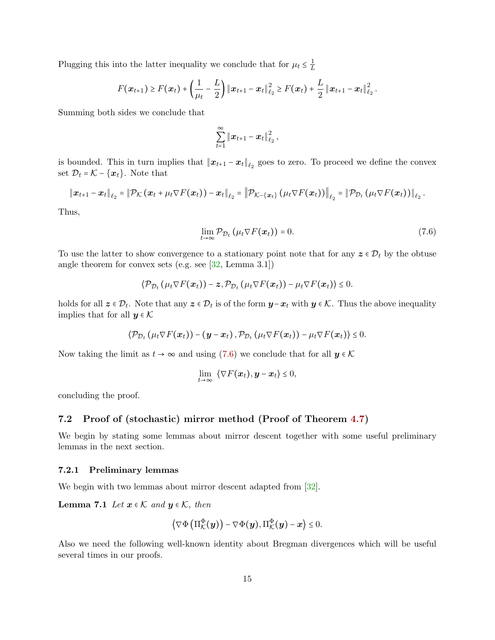Plugging this into the latter inequality we conclude that for  $\mu_t \leq \frac{1}{L}$ L

$$
F(\boldsymbol{x}_{t+1}) \geq F(\boldsymbol{x}_t) + \left(\frac{1}{\mu_t} - \frac{L}{2}\right) \|\boldsymbol{x}_{t+1} - \boldsymbol{x}_t\|_{\ell_2}^2 \geq F(\boldsymbol{x}_t) + \frac{L}{2} \|\boldsymbol{x}_{t+1} - \boldsymbol{x}_t\|_{\ell_2}^2.
$$

Summing both sides we conclude that

$$
\sum_{t=1}^{\infty}\left\|\boldsymbol{x}_{t+1}-\boldsymbol{x}_t\right\|_{\ell_2}^2,
$$

is bounded. This in turn implies that  $||x_{t+1} - x_t||_{\ell_2}$  goes to zero. To proceed we define the convex set  $\mathcal{D}_t = \mathcal{K} - \{\boldsymbol{x}_t\}$ . Note that

$$
\left\|\bm{x}_{t+1}-\bm{x}_t\right\|_{\ell_2}=\left\|\mathcal{P}_{\mathcal{K}}\left(\bm{x}_t+\mu_t\nabla F(\bm{x}_t)\right)-\bm{x}_t\right\|_{\ell_2}=\left\|\mathcal{P}_{\mathcal{K}-\{\bm{x}_t\}}\left(\mu_t\nabla F(\bm{x}_t)\right)\right\|_{\ell_2}=\left\|\mathcal{P}_{\mathcal{D}_t}\left(\mu_t\nabla F(\bm{x}_t)\right)\right\|_{\ell_2}.
$$

Thus,

<span id="page-14-0"></span>
$$
\lim_{t \to \infty} \mathcal{P}_{\mathcal{D}_t} \left( \mu_t \nabla F(\boldsymbol{x}_t) \right) = 0. \tag{7.6}
$$

To use the latter to show convergence to a stationary point note that for any  $z \in \mathcal{D}_t$  by the obtuse angle theorem for convex sets (e.g. see [\[32,](#page-21-2) Lemma 3.1])

$$
\langle \mathcal{P}_{\mathcal{D}_t} \left( \mu_t \nabla F(\boldsymbol{x}_t) \right) - \boldsymbol{z}, \mathcal{P}_{\mathcal{D}_t} \left( \mu_t \nabla F(\boldsymbol{x}_t) \right) - \mu_t \nabla F(\boldsymbol{x}_t) \rangle \leq 0.
$$

holds for all  $z \in \mathcal{D}_t$ . Note that any  $z \in \mathcal{D}_t$  is of the form  $y-x_t$  with  $y \in \mathcal{K}$ . Thus the above inequality implies that for all  $y \in \mathcal{K}$ 

$$
\langle \mathcal{P}_{\mathcal{D}_t}(\mu_t \nabla F(\boldsymbol{x}_t)) - (\boldsymbol{y} - \boldsymbol{x}_t), \mathcal{P}_{\mathcal{D}_t}(\mu_t \nabla F(\boldsymbol{x}_t)) - \mu_t \nabla F(\boldsymbol{x}_t) \rangle \leq 0.
$$

Now taking the limit as  $t \to \infty$  and using [\(7.6\)](#page-14-0) we conclude that for all  $y \in \mathcal{K}$ 

$$
\lim_{t\to\infty} \langle \nabla F(\boldsymbol{x}_t), \boldsymbol{y} - \boldsymbol{x}_t \rangle \leq 0,
$$

concluding the proof.

### 7.2 Proof of (stochastic) mirror method (Proof of Theorem [4.7\)](#page-8-1)

We begin by stating some lemmas about mirror descent together with some useful preliminary lemmas in the next section.

#### 7.2.1 Preliminary lemmas

We begin with two lemmas about mirror descent adapted from  $[32]$ .

**Lemma 7.1** Let  $x \in \mathcal{K}$  and  $y \in \mathcal{K}$ , then

<span id="page-14-2"></span><span id="page-14-1"></span>
$$
\left\langle \nabla \Phi \left( \Pi_\mathcal{K}^\Phi(\boldsymbol{y}) \right) - \nabla \Phi(\boldsymbol{y}), \Pi_\mathcal{K}^\Phi(\boldsymbol{y}) - \boldsymbol{x} \right\rangle \leq 0.
$$

Also we need the following well-known identity about Bregman divergences which will be useful several times in our proofs.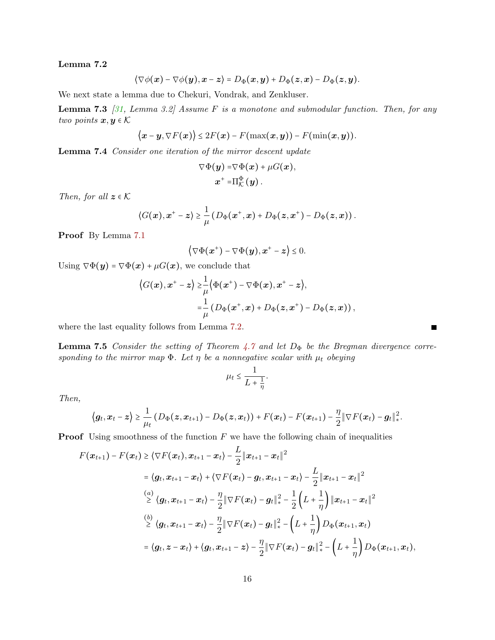## Lemma 7.2

$$
\langle \nabla \phi(\mathbf{x}) - \nabla \phi(\mathbf{y}), \mathbf{x} - \mathbf{z} \rangle = D_{\Phi}(\mathbf{x}, \mathbf{y}) + D_{\Phi}(\mathbf{z}, \mathbf{x}) - D_{\Phi}(\mathbf{z}, \mathbf{y}).
$$

We next state a lemma due to Chekuri, Vondrak, and Zenkluser.

**Lemma 7.3** [\[31,](#page-21-0) Lemma 3.2] Assume F is a monotone and submodular function. Then, for any two points  $x, y \in K$ 

$$
\langle \boldsymbol{x}-\boldsymbol{y},\nabla F(\boldsymbol{x})\rangle \leq 2F(\boldsymbol{x})-F(\max(\boldsymbol{x},\boldsymbol{y})) - F(\min(\boldsymbol{x},\boldsymbol{y})).
$$

<span id="page-15-0"></span>Lemma 7.4 Consider one iteration of the mirror descent update

<span id="page-15-2"></span>
$$
\nabla \Phi(\boldsymbol{y}) = \nabla \Phi(\boldsymbol{x}) + \mu G(\boldsymbol{x}),
$$
  

$$
\boldsymbol{x}^+ = \Pi_{\mathcal{K}}^{\Phi}(\boldsymbol{y}).
$$

Then, for all  $z \in \mathcal{K}$ 

$$
\langle G(\boldsymbol{x}), \boldsymbol{x}^+ - \boldsymbol{z} \rangle \geq \frac{1}{\mu} \left( D_{\Phi}(\boldsymbol{x}^+, \boldsymbol{x}) + D_{\Phi}(\boldsymbol{z}, \boldsymbol{x}^+) - D_{\Phi}(\boldsymbol{z}, \boldsymbol{x}) \right).
$$

Proof By Lemma [7.1](#page-14-1)

$$
\left\langle \nabla \Phi(\boldsymbol{x}^+) - \nabla \Phi(\boldsymbol{y}), \boldsymbol{x}^+ - \boldsymbol{z} \right\rangle \leq 0.
$$

Using  $\nabla \Phi(y) = \nabla \Phi(x) + \mu G(x)$ , we conclude that

$$
\langle G(\boldsymbol{x}), \boldsymbol{x}^+ - \boldsymbol{z} \rangle \geq \frac{1}{\mu} \langle \Phi(\boldsymbol{x}^+) - \nabla \Phi(\boldsymbol{x}), \boldsymbol{x}^+ - \boldsymbol{z} \rangle,
$$
  

$$
= \frac{1}{\mu} \left( D_{\Phi}(\boldsymbol{x}^+, \boldsymbol{x}) + D_{\Phi}(\boldsymbol{z}, \boldsymbol{x}^+) - D_{\Phi}(\boldsymbol{z}, \boldsymbol{x}) \right),
$$

where the last equality follows from Lemma [7.2.](#page-14-2)

<span id="page-15-1"></span>**Lemma 7.5** Consider the setting of Theorem [4.7](#page-8-1) and let  $D_{\Phi}$  be the Bregman divergence corresponding to the mirror map  $\Phi$ . Let  $\eta$  be a nonnegative scalar with  $\mu_t$  obeying

$$
\mu_t \leq \frac{1}{L+\frac{1}{\eta}}.
$$

Then,

$$
\big\langle \boldsymbol{g}_t, \boldsymbol{x}_t - \boldsymbol{z} \big\rangle \geq \frac{1}{\mu_t} \left( D_{\Phi}(\boldsymbol{z}, \boldsymbol{x}_{t+1}) - D_{\Phi}(\boldsymbol{z}, \boldsymbol{x}_t) \right) + F(\boldsymbol{x}_t) - F(\boldsymbol{x}_{t+1}) - \frac{\eta}{2} \|\nabla F(\boldsymbol{x}_t) - \boldsymbol{g}_t\|_*^2.
$$

**Proof** Using smoothness of the function  $F$  we have the following chain of inequalities

$$
F(\boldsymbol{x}_{t+1}) - F(\boldsymbol{x}_{t}) \geq \langle \nabla F(\boldsymbol{x}_{t}), \boldsymbol{x}_{t+1} - \boldsymbol{x}_{t} \rangle - \frac{L}{2} \|\boldsymbol{x}_{t+1} - \boldsymbol{x}_{t}\|^{2}
$$
  
\n
$$
= \langle \boldsymbol{g}_{t}, \boldsymbol{x}_{t+1} - \boldsymbol{x}_{t} \rangle + \langle \nabla F(\boldsymbol{x}_{t}) - \boldsymbol{g}_{t}, \boldsymbol{x}_{t+1} - \boldsymbol{x}_{t} \rangle - \frac{L}{2} \|\boldsymbol{x}_{t+1} - \boldsymbol{x}_{t}\|^{2}
$$
  
\n
$$
\stackrel{(a)}{\geq} \langle \boldsymbol{g}_{t}, \boldsymbol{x}_{t+1} - \boldsymbol{x}_{t} \rangle - \frac{\eta}{2} \|\nabla F(\boldsymbol{x}_{t}) - \boldsymbol{g}_{t}\|_{*}^{2} - \frac{1}{2} \left(L + \frac{1}{\eta}\right) \|\boldsymbol{x}_{t+1} - \boldsymbol{x}_{t}\|^{2}
$$
  
\n
$$
\stackrel{(b)}{\geq} \langle \boldsymbol{g}_{t}, \boldsymbol{x}_{t+1} - \boldsymbol{x}_{t} \rangle - \frac{\eta}{2} \|\nabla F(\boldsymbol{x}_{t}) - \boldsymbol{g}_{t}\|_{*}^{2} - \left(L + \frac{1}{\eta}\right) D_{\Phi}(\boldsymbol{x}_{t+1}, \boldsymbol{x}_{t})
$$
  
\n
$$
= \langle \boldsymbol{g}_{t}, \boldsymbol{z} - \boldsymbol{x}_{t} \rangle + \langle \boldsymbol{g}_{t}, \boldsymbol{x}_{t+1} - \boldsymbol{z} \rangle - \frac{\eta}{2} \|\nabla F(\boldsymbol{x}_{t}) - \boldsymbol{g}_{t}\|_{*}^{2} - \left(L + \frac{1}{\eta}\right) D_{\Phi}(\boldsymbol{x}_{t+1}, \boldsymbol{x}_{t}),
$$

П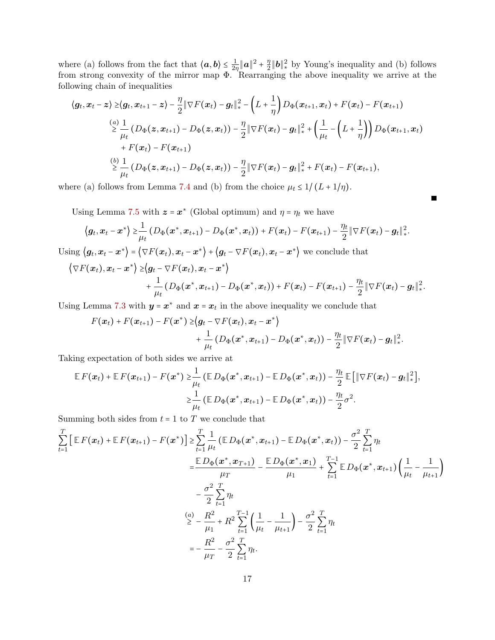where (a) follows from the fact that  $\langle a, b \rangle \leq \frac{1}{2a}$  $\frac{1}{2\eta}\|\bm a\|^2+\frac{\eta}{2}$  $\frac{\eta}{2}$  ||**b**|| $\frac{\eta}{*}$  by Young's inequality and (b) follows from strong convexity of the mirror map  $\Phi$ . Rearranging the above inequality we arrive at the following chain of inequalities

$$
\langle g_t, x_t - z \rangle \geq \langle g_t, x_{t+1} - z \rangle - \frac{\eta}{2} \|\nabla F(x_t) - g_t\|_*^2 - \left(L + \frac{1}{\eta}\right) D_{\Phi}(x_{t+1}, x_t) + F(x_t) - F(x_{t+1})
$$
\n
$$
\stackrel{(a)}{\geq} \frac{1}{\mu_t} \left(D_{\Phi}(z, x_{t+1}) - D_{\Phi}(z, x_t)\right) - \frac{\eta}{2} \|\nabla F(x_t) - g_t\|_*^2 + \left(\frac{1}{\mu_t} - \left(L + \frac{1}{\eta}\right)\right) D_{\Phi}(x_{t+1}, x_t)
$$
\n
$$
+ F(x_t) - F(x_{t+1})
$$
\n
$$
\stackrel{(b)}{\geq} \frac{1}{\mu_t} \left(D_{\Phi}(z, x_{t+1}) - D_{\Phi}(z, x_t)\right) - \frac{\eta}{2} \|\nabla F(x_t) - g_t\|_*^2 + F(x_t) - F(x_{t+1}),
$$

where (a) follows from Lemma [7.4](#page-15-0) and (b) from the choice  $\mu_t \leq 1/(L + 1/\eta)$ .

Using Lemma [7.5](#page-15-1) with  $z = x^*$  (Global optimum) and  $\eta = \eta_t$  we have

$$
\langle \boldsymbol{g}_t, \boldsymbol{x}_t - \boldsymbol{x}^* \rangle \geq \frac{1}{\mu_t} \left( D_{\Phi}(\boldsymbol{x}^*, \boldsymbol{x}_{t+1}) - D_{\Phi}(\boldsymbol{x}^*, \boldsymbol{x}_t) \right) + F(\boldsymbol{x}_t) - F(\boldsymbol{x}_{t+1}) - \frac{\eta_t}{2} \|\nabla F(\boldsymbol{x}_t) - \boldsymbol{g}_t\|_*^2.
$$

Г

Using  $\langle g_t, x_t - x^* \rangle = \langle \nabla F(x_t), x_t - x^* \rangle + \langle g_t - \nabla F(x_t), x_t - x^* \rangle$  we conclude that

$$
\langle \nabla F(\boldsymbol{x}_t), \boldsymbol{x}_t - \boldsymbol{x}^* \rangle \geq \langle \boldsymbol{g}_t - \nabla F(\boldsymbol{x}_t), \boldsymbol{x}_t - \boldsymbol{x}^* \rangle + \frac{1}{\mu_t} \left( D_{\Phi}(\boldsymbol{x}^*, \boldsymbol{x}_{t+1}) - D_{\Phi}(\boldsymbol{x}^*, \boldsymbol{x}_t) \right) + F(\boldsymbol{x}_t) - F(\boldsymbol{x}_{t+1}) - \frac{\eta_t}{2} \|\nabla F(\boldsymbol{x}_t) - \boldsymbol{g}_t\|_*^2.
$$

Using Lemma [7.3](#page-15-2) with  $y = x^*$  and  $x = x_t$  in the above inequality we conclude that

$$
F(\boldsymbol{x}_t)+F(\boldsymbol{x}_{t+1})-F(\boldsymbol{x}^*) \geq \langle \boldsymbol{g}_t-\nabla F(\boldsymbol{x}_t),\boldsymbol{x}_t-\boldsymbol{x}^* \rangle \\ +\frac{1}{\mu_t}\left(D_{\Phi}(\boldsymbol{x}^*,\boldsymbol{x}_{t+1})-D_{\Phi}(\boldsymbol{x}^*,\boldsymbol{x}_t)\right)-\frac{\eta_t}{2}\|\nabla F(\boldsymbol{x}_t)-\boldsymbol{g}_t\|_*^2.
$$

Taking expectation of both sides we arrive at

$$
\mathbb{E} F(\boldsymbol{x}_t) + \mathbb{E} F(\boldsymbol{x}_{t+1}) - F(\boldsymbol{x}^*) \geq \frac{1}{\mu_t} \left( \mathbb{E} D_{\Phi}(\boldsymbol{x}^*, \boldsymbol{x}_{t+1}) - \mathbb{E} D_{\Phi}(\boldsymbol{x}^*, \boldsymbol{x}_t) \right) - \frac{\eta_t}{2} \mathbb{E} \left[ \|\nabla F(\boldsymbol{x}_t) - \boldsymbol{g}_t\|_*^2 \right],
$$
  

$$
\geq \frac{1}{\mu_t} \left( \mathbb{E} D_{\Phi}(\boldsymbol{x}^*, \boldsymbol{x}_{t+1}) - \mathbb{E} D_{\Phi}(\boldsymbol{x}^*, \boldsymbol{x}_t) \right) - \frac{\eta_t}{2} \sigma^2.
$$

Summing both sides from  $t = 1$  to  $T$  we conclude that

$$
\sum_{t=1}^{T} \left[ \mathbb{E} F(\boldsymbol{x}_{t}) + \mathbb{E} F(\boldsymbol{x}_{t+1}) - F(\boldsymbol{x}^{*}) \right] \geq \sum_{t=1}^{T} \frac{1}{\mu_{t}} \left( \mathbb{E} D_{\Phi}(\boldsymbol{x}^{*}, \boldsymbol{x}_{t+1}) - \mathbb{E} D_{\Phi}(\boldsymbol{x}^{*}, \boldsymbol{x}_{t}) \right) - \frac{\sigma^{2}}{2} \sum_{t=1}^{T} \eta_{t}
$$
\n
$$
= \frac{\mathbb{E} D_{\Phi}(\boldsymbol{x}^{*}, \boldsymbol{x}_{T+1})}{\mu_{T}} - \frac{\mathbb{E} D_{\Phi}(\boldsymbol{x}^{*}, \boldsymbol{x}_{1})}{\mu_{1}} + \sum_{t=1}^{T-1} \mathbb{E} D_{\Phi}(\boldsymbol{x}^{*}, \boldsymbol{x}_{t+1}) \left( \frac{1}{\mu_{t}} - \frac{1}{\mu_{t+1}} \right)
$$
\n
$$
- \frac{\sigma^{2}}{2} \sum_{t=1}^{T} \eta_{t}
$$
\n
$$
\geq - \frac{R^{2}}{\mu_{1}} + R^{2} \sum_{t=1}^{T-1} \left( \frac{1}{\mu_{t}} - \frac{1}{\mu_{t+1}} \right) - \frac{\sigma^{2}}{2} \sum_{t=1}^{T} \eta_{t}
$$
\n
$$
= - \frac{R^{2}}{\mu_{T}} - \frac{\sigma^{2}}{2} \sum_{t=1}^{T} \eta_{t}.
$$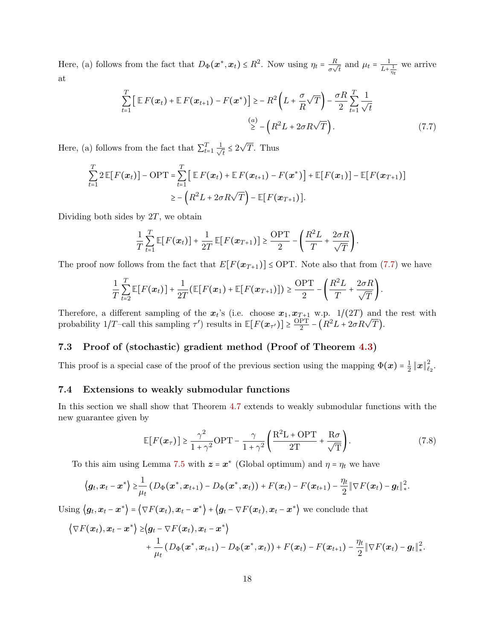Here, (a) follows from the fact that  $D_{\Phi}(\boldsymbol{x}^*, \boldsymbol{x}_t) \leq R^2$ . Now using  $\eta_t = \frac{R}{\sigma_t}$  $\frac{R}{\sigma\sqrt{t}}$  and  $\mu_t = \frac{1}{L+1}$  $L+\frac{1}{\eta_t}$ we arrive at

<span id="page-17-2"></span>
$$
\sum_{t=1}^{T} \left[ \mathbb{E} F(\boldsymbol{x}_t) + \mathbb{E} F(\boldsymbol{x}_{t+1}) - F(\boldsymbol{x}^*) \right] \ge -R^2 \left( L + \frac{\sigma}{R} \sqrt{T} \right) - \frac{\sigma R}{2} \sum_{t=1}^{T} \frac{1}{\sqrt{t}}
$$
\n
$$
\stackrel{(a)}{\ge} - \left( R^2 L + 2\sigma R \sqrt{T} \right). \tag{7.7}
$$

Here, (a) follows from the fact that  $\sum_{t=1}^{T} \frac{1}{\sqrt{2}}$  $\frac{1}{t} \leq 2$ √ T. Thus

$$
\sum_{t=1}^T 2 \mathbb{E}[F(\boldsymbol{x}_t)] - \mathrm{OPT} = \sum_{t=1}^T \left[ \mathbb{E} F(\boldsymbol{x}_t) + \mathbb{E} F(\boldsymbol{x}_{t+1}) - F(\boldsymbol{x}^*) \right] + \mathbb{E}[F(\boldsymbol{x}_1)] - \mathbb{E}[F(\boldsymbol{x}_{T+1})]
$$
  
\n
$$
\geq -\left(R^2 L + 2\sigma R \sqrt{T}\right) - \mathbb{E}[F(\boldsymbol{x}_{T+1})].
$$

Dividing both sides by  $2T$ , we obtain

$$
\frac{1}{T}\sum_{t=1}^T \mathbb{E}[F(\boldsymbol{x}_t)] + \frac{1}{2T}\mathbb{E}[F(\boldsymbol{x}_{T+1})] \ge \frac{\text{OPT}}{2} - \left(\frac{R^2L}{T} + \frac{2\sigma R}{\sqrt{T}}\right).
$$

The proof now follows from the fact that  $E[F(\mathbf{x}_{T+1})] \leq \text{OPT}$ . Note also that from [\(7.7\)](#page-17-2) we have

$$
\frac{1}{T}\sum_{t=2}^T \mathbb{E}[F(\boldsymbol{x}_t)] + \frac{1}{2T}(\mathbb{E}[F(\boldsymbol{x}_1) + \mathbb{E}[F(\boldsymbol{x}_{T+1})]) \geq \frac{\mathrm{OPT}}{2} - \left(\frac{R^2L}{T} + \frac{2\sigma R}{\sqrt{T}}\right).
$$

Therefore, a different sampling of the  $x_t$ 's (i.e. choose  $x_1, x_{T+1}$  w.p.  $1/(2T)$  and the rest with probability  $1/T$ -call this sampling  $\tau'$ ) results in  $\mathbb{E}[F(\mathbf{x}_{\tau'})] \geq \frac{\text{OPT}}{2}$  $\frac{PT}{2} - (R^2L + 2\sigma R\sqrt{T}).$ 

### <span id="page-17-0"></span>7.3 Proof of (stochastic) gradient method (Proof of Theorem [4.3\)](#page-6-2)

<span id="page-17-1"></span>This proof is a special case of the proof of the previous section using the mapping  $\Phi(x) = \frac{1}{2}$  $\frac{1}{2}\left\Vert \boldsymbol{x}\right\Vert _{\ell_{2}}^{2}$  $_{\ell_2}^{\mathcal{Z}}$  .

#### 7.4 Extensions to weakly submodular functions

In this section we shall show that Theorem [4.7](#page-8-1) extends to weakly submodular functions with the new guarantee given by

$$
\mathbb{E}[F(\boldsymbol{x}_{\tau})] \ge \frac{\gamma^2}{1+\gamma^2} \text{OPT} - \frac{\gamma}{1+\gamma^2} \left( \frac{\text{R}^2 \text{L} + \text{OPT}}{2\text{T}} + \frac{\text{R}\sigma}{\sqrt{\text{T}}} \right).
$$
(7.8)

To this aim using Lemma [7.5](#page-15-1) with  $z = x^*$  (Global optimum) and  $\eta = \eta_t$  we have

$$
\langle \boldsymbol{g}_t, \boldsymbol{x}_t - \boldsymbol{x}^* \rangle \geq \frac{1}{\mu_t} \left( D_{\Phi}(\boldsymbol{x}^*, \boldsymbol{x}_{t+1}) - D_{\Phi}(\boldsymbol{x}^*, \boldsymbol{x}_t) \right) + F(\boldsymbol{x}_t) - F(\boldsymbol{x}_{t+1}) - \frac{\eta_t}{2} \|\nabla F(\boldsymbol{x}_t) - \boldsymbol{g}_t\|_*^2.
$$

Using  $\langle g_t, x_t - x^* \rangle = \langle \nabla F(x_t), x_t - x^* \rangle + \langle g_t - \nabla F(x_t), x_t - x^* \rangle$  we conclude that

$$
\langle \nabla F(\boldsymbol{x}_t), \boldsymbol{x}_t - \boldsymbol{x}^* \rangle \geq \langle \boldsymbol{g}_t - \nabla F(\boldsymbol{x}_t), \boldsymbol{x}_t - \boldsymbol{x}^* \rangle + \frac{1}{\mu_t} \left( D_{\Phi}(\boldsymbol{x}^*, \boldsymbol{x}_{t+1}) - D_{\Phi}(\boldsymbol{x}^*, \boldsymbol{x}_t) \right) + F(\boldsymbol{x}_t) - F(\boldsymbol{x}_{t+1}) - \frac{\eta_t}{2} \|\nabla F(\boldsymbol{x}_t) - \boldsymbol{g}_t\|_*^2.
$$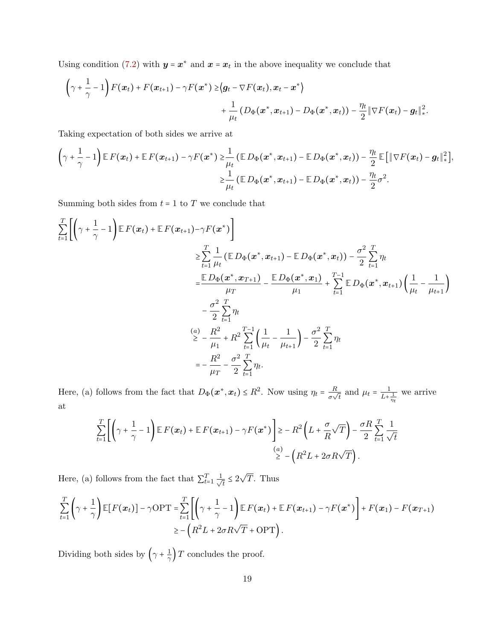Using condition [\(7.2\)](#page-13-2) with  $y = x^*$  and  $x = x_t$  in the above inequality we conclude that

$$
\left(\gamma+\frac{1}{\gamma}-1\right)F(\boldsymbol{x}_t)+F(\boldsymbol{x}_{t+1})-\gamma F(\boldsymbol{x}^*) \geq \left\langle \boldsymbol{g}_t-\nabla F(\boldsymbol{x}_t),\boldsymbol{x}_t-\boldsymbol{x}^*\right\rangle \\ +\frac{1}{\mu_t}\left(D_{\Phi}(\boldsymbol{x}^*,\boldsymbol{x}_{t+1})-D_{\Phi}(\boldsymbol{x}^*,\boldsymbol{x}_t)\right)-\frac{\eta_t}{2}\|\nabla F(\boldsymbol{x}_t)-\boldsymbol{g}_t\|_*^2.
$$

Taking expectation of both sides we arrive at

$$
\left(\gamma+\frac{1}{\gamma}-1\right)\mathbb{E} F(\boldsymbol{x}_t)+\mathbb{E} F(\boldsymbol{x}_{t+1})-\gamma F(\boldsymbol{x}^*)\geq \frac{1}{\mu_t}\left(\mathbb{E} D_{\Phi}(\boldsymbol{x}^*,\boldsymbol{x}_{t+1})-\mathbb{E} D_{\Phi}(\boldsymbol{x}^*,\boldsymbol{x}_t)\right)-\frac{\eta_t}{2}\mathbb{E}\big[\|\nabla F(\boldsymbol{x}_t)-\boldsymbol{g}_t\|_*^2\big],\\ \geq \frac{1}{\mu_t}\left(\mathbb{E} D_{\Phi}(\boldsymbol{x}^*,\boldsymbol{x}_{t+1})-\mathbb{E} D_{\Phi}(\boldsymbol{x}^*,\boldsymbol{x}_t)\right)-\frac{\eta_t}{2}\sigma^2.
$$

Summing both sides from  $t = 1$  to  $T$  we conclude that

$$
\sum_{t=1}^{T} \left[ \left( \gamma + \frac{1}{\gamma} - 1 \right) \mathbb{E} F(\boldsymbol{x}_t) + \mathbb{E} F(\boldsymbol{x}_{t+1}) - \gamma F(\boldsymbol{x}^*) \right] \n\geq \sum_{t=1}^{T} \frac{1}{\mu_t} \left( \mathbb{E} D_{\Phi}(\boldsymbol{x}^*, \boldsymbol{x}_{t+1}) - \mathbb{E} D_{\Phi}(\boldsymbol{x}^*, \boldsymbol{x}_t) \right) - \frac{\sigma^2}{2} \sum_{t=1}^{T} \eta_t \n= \frac{\mathbb{E} D_{\Phi}(\boldsymbol{x}^*, \boldsymbol{x}_{T+1})}{\mu_T} - \frac{\mathbb{E} D_{\Phi}(\boldsymbol{x}^*, \boldsymbol{x}_1)}{\mu_1} + \sum_{t=1}^{T-1} \mathbb{E} D_{\Phi}(\boldsymbol{x}^*, \boldsymbol{x}_{t+1}) \left( \frac{1}{\mu_t} - \frac{1}{\mu_{t+1}} \right) \n- \frac{\sigma^2}{2} \sum_{t=1}^{T} \eta_t \n\geq - \frac{R^2}{\mu_1} + R^2 \sum_{t=1}^{T-1} \left( \frac{1}{\mu_t} - \frac{1}{\mu_{t+1}} \right) - \frac{\sigma^2}{2} \sum_{t=1}^{T} \eta_t \n= - \frac{R^2}{\mu_T} - \frac{\sigma^2}{2} \sum_{t=1}^{T} \eta_t.
$$

Here, (a) follows from the fact that  $D_{\Phi}(\boldsymbol{x}^*, \boldsymbol{x}_t) \leq R^2$ . Now using  $\eta_t = \frac{R}{\sigma}$  $\frac{R}{\sigma\sqrt{t}}$  and  $\mu_t = \frac{1}{L+1}$  $L+\frac{1}{\eta_t}$ we arrive at

$$
\sum_{t=1}^T \left[ \left( \gamma + \frac{1}{\gamma} - 1 \right) \mathbb{E} F(x_t) + \mathbb{E} F(x_{t+1}) - \gamma F(x^*) \right] \ge -R^2 \left( L + \frac{\sigma}{R} \sqrt{T} \right) - \frac{\sigma R}{2} \sum_{t=1}^T \frac{1}{\sqrt{t}}
$$
\n
$$
\stackrel{(a)}{\ge} - \left( R^2 L + 2\sigma R \sqrt{T} \right).
$$

Here, (a) follows from the fact that  $\sum_{t=1}^{T} \frac{1}{\sqrt{2}}$  $\frac{1}{t} \leq 2$ √ T. Thus

$$
\sum_{t=1}^T \left( \gamma + \frac{1}{\gamma} \right) \mathbb{E} [F(\boldsymbol{x}_t)] - \gamma \text{OPT} = \sum_{t=1}^T \left[ \left( \gamma + \frac{1}{\gamma} - 1 \right) \mathbb{E} F(\boldsymbol{x}_t) + \mathbb{E} F(\boldsymbol{x}_{t+1}) - \gamma F(\boldsymbol{x}^*) \right] + F(\boldsymbol{x}_1) - F(\boldsymbol{x}_{T+1})
$$
  
 
$$
\geq -\left( R^2 L + 2\sigma R \sqrt{T} + \text{OPT} \right).
$$

Dividing both sides by  $(\gamma + \frac{1}{\gamma})$  $\frac{1}{\gamma}$ ) T concludes the proof.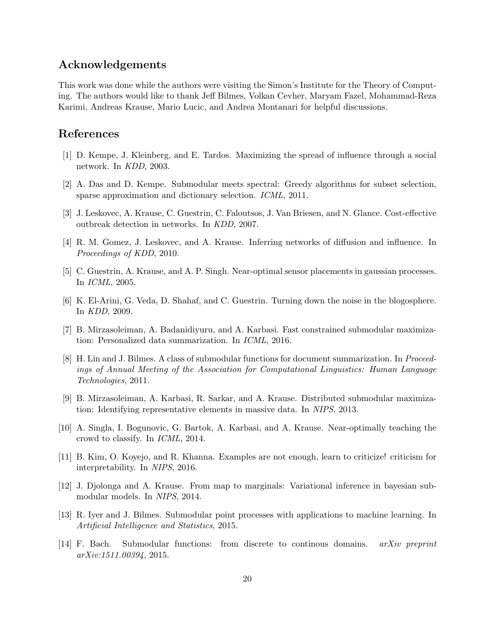# Acknowledgements

This work was done while the authors were visiting the Simon's Institute for the Theory of Computing. The authors would like to thank Jeff Bilmes, Volkan Cevher, Maryam Fazel, Mohammad-Reza Karimi, Andreas Krause, Mario Lucic, and Andrea Montanari for helpful discussions.

# References

- <span id="page-19-0"></span>[1] D. Kempe, J. Kleinberg, and E. Tardos. Maximizing the spread of influence through a social network. In KDD, 2003.
- <span id="page-19-1"></span>[2] A. Das and D. Kempe. Submodular meets spectral: Greedy algorithms for subset selection, sparse approximation and dictionary selection. ICML, 2011.
- <span id="page-19-2"></span>[3] J. Leskovec, A. Krause, C. Guestrin, C. Faloutsos, J. Van Briesen, and N. Glance. Cost-effective outbreak detection in networks. In KDD, 2007.
- <span id="page-19-3"></span>[4] R. M. Gomez, J. Leskovec, and A. Krause. Inferring networks of diffusion and influence. In Proceedings of KDD, 2010.
- <span id="page-19-4"></span>[5] C. Guestrin, A. Krause, and A. P. Singh. Near-optimal sensor placements in gaussian processes. In ICML, 2005.
- <span id="page-19-5"></span>[6] K. El-Arini, G. Veda, D. Shahaf, and C. Guestrin. Turning down the noise in the blogosphere. In KDD, 2009.
- <span id="page-19-6"></span>[7] B. Mirzasoleiman, A. Badanidiyuru, and A. Karbasi. Fast constrained submodular maximization: Personalized data summarization. In ICML, 2016.
- <span id="page-19-7"></span>[8] H. Lin and J. Bilmes. A class of submodular functions for document summarization. In Proceedings of Annual Meeting of the Association for Computational Linguistics: Human Language Technologies, 2011.
- <span id="page-19-8"></span>[9] B. Mirzasoleiman, A. Karbasi, R. Sarkar, and A. Krause. Distributed submodular maximization: Identifying representative elements in massive data. In NIPS, 2013.
- <span id="page-19-9"></span>[10] A. Singla, I. Bogunovic, G. Bartok, A. Karbasi, and A. Krause. Near-optimally teaching the crowd to classify. In ICML, 2014.
- <span id="page-19-10"></span>[11] B. Kim, O. Koyejo, and R. Khanna. Examples are not enough, learn to criticize! criticism for interpretability. In NIPS, 2016.
- <span id="page-19-11"></span>[12] J. Djolonga and A. Krause. From map to marginals: Variational inference in bayesian submodular models. In NIPS, 2014.
- <span id="page-19-12"></span>[13] R. Iyer and J. Bilmes. Submodular point processes with applications to machine learning. In Artificial Intelligence and Statistics, 2015.
- <span id="page-19-13"></span>[14] F. Bach. Submodular functions: from discrete to continous domains. arXiv preprint arXiv:1511.00394, 2015.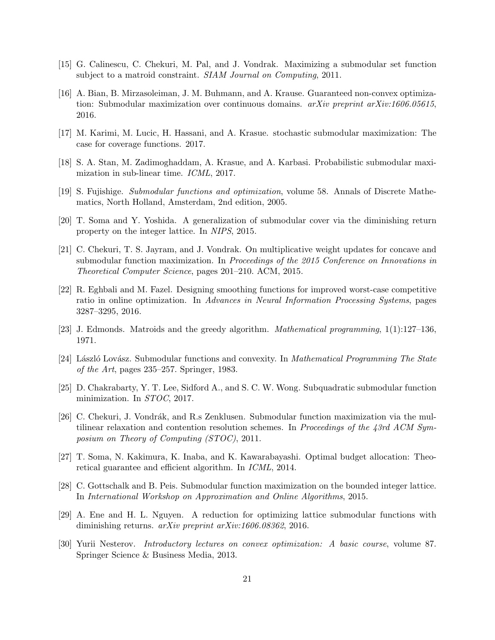- <span id="page-20-0"></span>[15] G. Calinescu, C. Chekuri, M. Pal, and J. Vondrak. Maximizing a submodular set function subject to a matroid constraint. SIAM Journal on Computing, 2011.
- <span id="page-20-1"></span>[16] A. Bian, B. Mirzasoleiman, J. M. Buhmann, and A. Krause. Guaranteed non-convex optimization: Submodular maximization over continuous domains. *arXiv preprint arXiv:1606.05615*, 2016.
- <span id="page-20-2"></span>[17] M. Karimi, M. Lucic, H. Hassani, and A. Krasue. stochastic submodular maximization: The case for coverage functions. 2017.
- <span id="page-20-3"></span>[18] S. A. Stan, M. Zadimoghaddam, A. Krasue, and A. Karbasi. Probabilistic submodular maximization in sub-linear time. ICML, 2017.
- <span id="page-20-4"></span>[19] S. Fujishige. Submodular functions and optimization, volume 58. Annals of Discrete Mathematics, North Holland, Amsterdam, 2nd edition, 2005.
- <span id="page-20-5"></span>[20] T. Soma and Y. Yoshida. A generalization of submodular cover via the diminishing return property on the integer lattice. In NIPS, 2015.
- <span id="page-20-6"></span>[21] C. Chekuri, T. S. Jayram, and J. Vondrak. On multiplicative weight updates for concave and submodular function maximization. In Proceedings of the 2015 Conference on Innovations in Theoretical Computer Science, pages 201–210. ACM, 2015.
- <span id="page-20-7"></span>[22] R. Eghbali and M. Fazel. Designing smoothing functions for improved worst-case competitive ratio in online optimization. In Advances in Neural Information Processing Systems, pages 3287–3295, 2016.
- <span id="page-20-8"></span>[23] J. Edmonds. Matroids and the greedy algorithm. Mathematical programming, 1(1):127–136, 1971.
- <span id="page-20-9"></span>[24] László Lovász. Submodular functions and convexity. In Mathematical Programming The State of the Art, pages 235–257. Springer, 1983.
- <span id="page-20-14"></span>[25] D. Chakrabarty, Y. T. Lee, Sidford A., and S. C. W. Wong. Subquadratic submodular function minimization. In STOC, 2017.
- <span id="page-20-10"></span>[26] C. Chekuri, J. Vondrák, and R.s Zenklusen. Submodular function maximization via the multilinear relaxation and contention resolution schemes. In Proceedings of the 43rd ACM Symposium on Theory of Computing (STOC), 2011.
- <span id="page-20-11"></span>[27] T. Soma, N. Kakimura, K. Inaba, and K. Kawarabayashi. Optimal budget allocation: Theoretical guarantee and efficient algorithm. In ICML, 2014.
- <span id="page-20-12"></span>[28] C. Gottschalk and B. Peis. Submodular function maximization on the bounded integer lattice. In International Workshop on Approximation and Online Algorithms, 2015.
- <span id="page-20-13"></span>[29] A. Ene and H. L. Nguyen. A reduction for optimizing lattice submodular functions with diminishing returns. *arXiv preprint arXiv:1606.08362*, 2016.
- <span id="page-20-15"></span>[30] Yurii Nesterov. Introductory lectures on convex optimization: A basic course, volume 87. Springer Science & Business Media, 2013.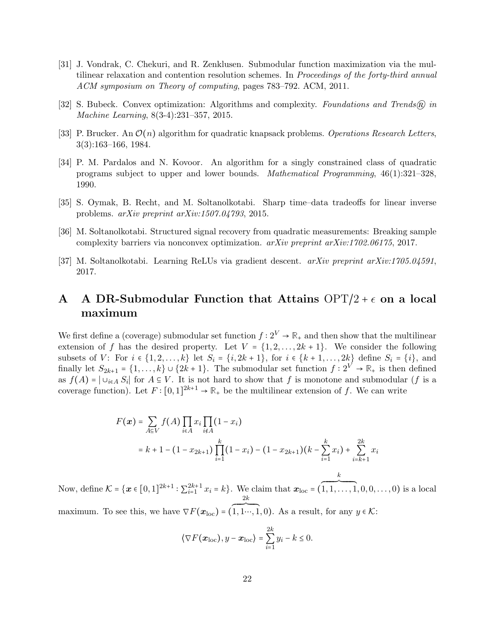- <span id="page-21-0"></span>[31] J. Vondrak, C. Chekuri, and R. Zenklusen. Submodular function maximization via the multilinear relaxation and contention resolution schemes. In *Proceedings of the forty-third annual* ACM symposium on Theory of computing, pages 783–792. ACM, 2011.
- <span id="page-21-2"></span>[32] S. Bubeck. Convex optimization: Algorithms and complexity. Foundations and Trends $\circledR$  in Machine Learning, 8(3-4):231–357, 2015.
- <span id="page-21-3"></span>[33] P. Brucker. An  $\mathcal{O}(n)$  algorithm for quadratic knapsack problems. Operations Research Letters, 3(3):163–166, 1984.
- <span id="page-21-4"></span>[34] P. M. Pardalos and N. Kovoor. An algorithm for a singly constrained class of quadratic programs subject to upper and lower bounds. Mathematical Programming, 46(1):321–328, 1990.
- <span id="page-21-5"></span>[35] S. Oymak, B. Recht, and M. Soltanolkotabi. Sharp time–data tradeoffs for linear inverse problems. arXiv preprint arXiv:1507.04793, 2015.
- <span id="page-21-6"></span>[36] M. Soltanolkotabi. Structured signal recovery from quadratic measurements: Breaking sample complexity barriers via nonconvex optimization. arXiv preprint arXiv:1702.06175, 2017.
- <span id="page-21-7"></span>[37] M. Soltanolkotabi. Learning ReLUs via gradient descent. arXiv preprint arXiv:1705.04591, 2017.

# <span id="page-21-1"></span>A A DR-Submodular Function that Attains  $\text{OPT}/2 + \epsilon$  on a local maximum

We first define a (coverage) submodular set function  $f: 2^V \to \mathbb{R}_+$  and then show that the multilinear extension of f has the desired property. Let  $V = \{1, 2, ..., 2k + 1\}$ . We consider the following subsets of V: For  $i \in \{1, 2, ..., k\}$  let  $S_i = \{i, 2k + 1\}$ , for  $i \in \{k + 1, ..., 2k\}$  define  $S_i = \{i\}$ , and finally let  $S_{2k+1} = \{1, ..., k\} \cup \{2k+1\}$ . The submodular set function  $f: 2^V \to \mathbb{R}_+$  is then defined as  $f(A) = |\cup_{i \in A} S_i|$  for  $A \subseteq V$ . It is not hard to show that f is monotone and submodular (f is a coverage function). Let  $F: [0,1]^{2k+1} \to \mathbb{R}_+$  be the multilinear extension of f. We can write

$$
F(\boldsymbol{x}) = \sum_{A \in V} f(A) \prod_{i \in A} x_i \prod_{i \notin A} (1 - x_i)
$$
  
=  $k + 1 - (1 - x_{2k+1}) \prod_{i=1}^{k} (1 - x_i) - (1 - x_{2k+1})(k - \sum_{i=1}^{k} x_i) + \sum_{i=k+1}^{2k} x_i$ 

Now, define  $\mathcal{K} = {\mathbf{x} \in [0, 1]^{2k+1} : \sum_{i=1}^{2k+1} x_i = k}.$  We claim that  $\mathbf{x}_{\text{loc}} = {\mathbf{x} \in [0, 1]^{2k+1}}$  $\frac{k}{\sqrt{2\pi}$  $1, 1, \ldots, 1, 0, 0, \ldots, 0$  is a local maximum. To see this, we have  $\nabla F(\boldsymbol{x}_{\text{loc}})$  = (  $2k$  $\overline{\phantom{a}}$ 1, 1…, 1, 0). As a result, for any  $y \in \mathcal{K}$ :

$$
\langle \nabla F(\boldsymbol{x}_{\text{loc}}), y - \boldsymbol{x}_{\text{loc}} \rangle = \sum_{i=1}^{2k} y_i - k \leq 0.
$$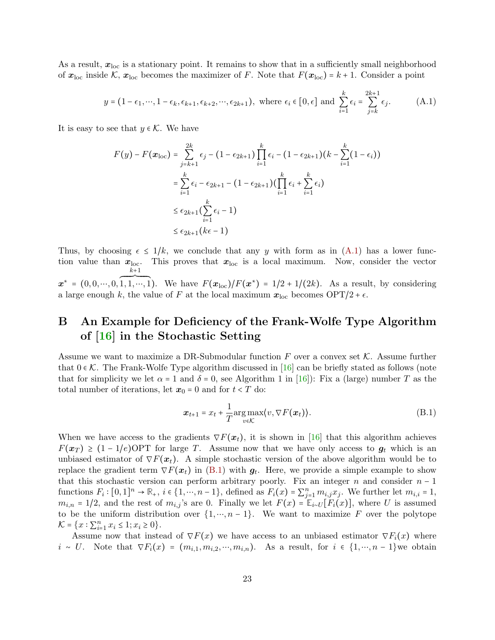As a result,  $x_{\text{loc}}$  is a stationary point. It remains to show that in a sufficiently small neighborhood of  $x_{\text{loc}}$  inside K,  $x_{\text{loc}}$  becomes the maximizer of F. Note that  $F(x_{\text{loc}}) = k + 1$ . Consider a point

<span id="page-22-1"></span>
$$
y = (1 - \epsilon_1, \cdots, 1 - \epsilon_k, \epsilon_{k+1}, \epsilon_{k+2}, \cdots, \epsilon_{2k+1}), \text{ where } \epsilon_i \in [0, \epsilon] \text{ and } \sum_{i=1}^k \epsilon_i = \sum_{j=k}^{2k+1} \epsilon_j. \tag{A.1}
$$

It is easy to see that  $y \in \mathcal{K}$ . We have

$$
F(y) - F(\boldsymbol{x}_{\text{loc}}) = \sum_{j=k+1}^{2k} \epsilon_j - (1 - \epsilon_{2k+1}) \prod_{i=1}^{k} \epsilon_i - (1 - \epsilon_{2k+1})(k - \sum_{i=1}^{k} (1 - \epsilon_i))
$$
  
= 
$$
\sum_{i=1}^{k} \epsilon_i - \epsilon_{2k+1} - (1 - \epsilon_{2k+1}) (\prod_{i=1}^{k} \epsilon_i + \sum_{i=1}^{k} \epsilon_i)
$$
  

$$
\leq \epsilon_{2k+1} (\sum_{i=1}^{k} \epsilon_i - 1)
$$
  

$$
\leq \epsilon_{2k+1} (k\epsilon - 1)
$$

Thus, by choosing  $\epsilon \leq 1/k$ , we conclude that any y with form as in  $(A.1)$  has a lower function value than  $x_{\text{loc}}$ . This proves that  $x_{\text{loc}}$  is a local maximum. Now, consider the vector  $x^* = (0, 0, \dots, 0, 1, 1, \dots, 1)$  $k+1$ 

1, 1, …, 1). We have  $F(\mathbf{x}_{\text{loc}})/F(\mathbf{x}^*) = 1/2 + 1/(2k)$ . As a result, by considering a large enough k, the value of F at the local maximum  $x_{\text{loc}}$  becomes  $\text{OPT}/2 + \epsilon$ .

# <span id="page-22-0"></span>B An Example for Deficiency of the Frank-Wolfe Type Algorithm of [\[16\]](#page-20-1) in the Stochastic Setting

Assume we want to maximize a DR-Submodular function  $F$  over a convex set  $K$ . Assume further that  $0 \in \mathcal{K}$ . The Frank-Wolfe Type algorithm discussed in [\[16\]](#page-20-1) can be briefly stated as follows (note that for simplicity we let  $\alpha = 1$  and  $\delta = 0$ , see Algorithm 1 in [\[16\]](#page-20-1)): Fix a (large) number T as the total number of iterations, let  $x_0 = 0$  and for  $t < T$  do:

<span id="page-22-2"></span>
$$
\boldsymbol{x}_{t+1} = x_t + \frac{1}{T} \underset{v \in \mathcal{K}}{\arg \max} \langle v, \nabla F(\boldsymbol{x}_t) \rangle. \tag{B.1}
$$

When we have access to the gradients  $\nabla F(x_t)$ , it is shown in [\[16\]](#page-20-1) that this algorithm achieves  $F(x_T) \geq (1-1/e)$  OPT for large T. Assume now that we have only access to  $g_t$  which is an unbiased estimator of  $\nabla F(x_t)$ . A simple stochastic version of the above algorithm would be to replace the gradient term  $\nabla F(x_t)$  in [\(B.1\)](#page-22-2) with  $g_t$ . Here, we provide a simple example to show that this stochastic version can perform arbitrary poorly. Fix an integer n and consider  $n-1$ functions  $F_i: [0,1]^n \to \mathbb{R}_+$ ,  $i \in \{1, \dots, n-1\}$ , defined as  $F_i(x) = \sum_{j=1}^n m_{i,j} x_j$ . We further let  $m_{i,i} = 1$ ,  $m_{i,n} = 1/2$ , and the rest of  $m_{i,j}$ 's are 0. Finally we let  $F(x) = \mathbb{E}_{i \sim U}[F_i(x)]$ , where U is assumed to be the uniform distribution over  $\{1, \dots, n-1\}$ . We want to maximize F over the polytope  $\mathcal{K} = \{x : \sum_{i=1}^n x_i \leq 1; x_i \geq 0\}.$ 

Assume now that instead of  $\nabla F(x)$  we have access to an unbiased estimator  $\nabla F_i(x)$  where  $i \sim U$ . Note that  $\nabla F_i(x) = (m_{i,1}, m_{i,2}, \dots, m_{i,n})$ . As a result, for  $i \in \{1, \dots, n-1\}$  we obtain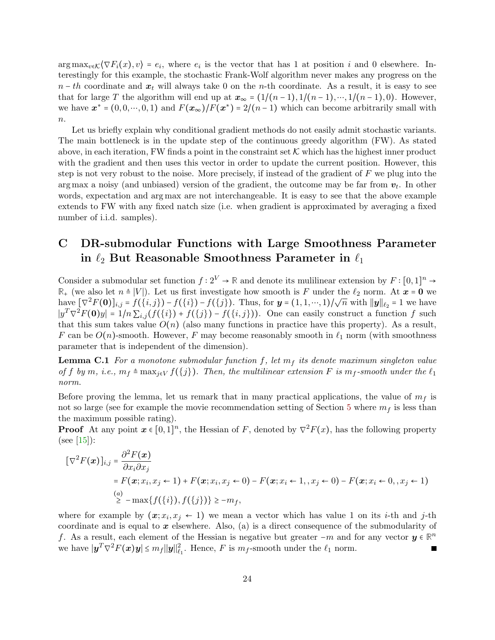$\arg \max_{v \in \mathcal{K}} \langle \nabla F_i(x), v \rangle = e_i$ , where  $e_i$  is the vector that has 1 at position i and 0 elsewhere. Interestingly for this example, the stochastic Frank-Wolf algorithm never makes any progress on the  $n-th$  coordinate and  $x_t$  will always take 0 on the n-th coordinate. As a result, it is easy to see that for large T the algorithm will end up at  $x_{\infty} = (1/(n-1), 1/(n-1), \dots, 1/(n-1), 0)$ . However, we have  $\mathbf{x}^* = (0, 0, \dots, 0, 1)$  and  $F(\mathbf{x}_{\infty})/F(\mathbf{x}^*) = 2/(n-1)$  which can become arbitrarily small with  $n$ .

Let us briefly explain why conditional gradient methods do not easily admit stochastic variants. The main bottleneck is in the update step of the continuous greedy algorithm (FW). As stated above, in each iteration, FW finds a point in the constraint set  $K$  which has the highest inner product with the gradient and then uses this vector in order to update the current position. However, this step is not very robust to the noise. More precisely, if instead of the gradient of  $F$  we plug into the arg max a noisy (and unbiased) version of the gradient, the outcome may be far from  $v_t$ . In other words, expectation and arg max are not interchangeable. It is easy to see that the above example extends to FW with any fixed natch size (i.e. when gradient is approximated by averaging a fixed number of i.i.d. samples).

# <span id="page-23-0"></span>C DR-submodular Functions with Large Smoothness Parameter in  $\ell_2$  But Reasonable Smoothness Parameter in  $\ell_1$

Consider a submodular set function  $f: 2^V \to \mathbb{R}$  and denote its mulilinear extension by  $F: [0,1]^n \to$  $\mathbb{R}_+$  (we also let  $n \triangleq |V|$ ). Let us first investigate how smooth is F under the  $\ell_2$  norm. At  $\mathbf{x} = \mathbf{0}$  we have  $[\nabla^2 F(0)]_{i,j} = f(\{i,j\}) - f(\{i\})$ . Thus, for  $\mathbf{y} = (1, 1, \dots, 1)/\sqrt{n}$  with  $\|\mathbf{y}\|_{\ell_2} = 1$  we have  $|y^T \nabla^2 F(\mathbf{0})y| = 1/n \sum_{i,j} (f(\{i\}) + f(\{j\}) - f(\{i,j\})).$  One can easily construct a function f such that this sum takes value  $O(n)$  (also many functions in practice have this property). As a result, F can be  $O(n)$ -smooth. However, F may become reasonably smooth in  $\ell_1$  norm (with smoothness parameter that is independent of the dimension).

**Lemma C.1** For a monotone submodular function f, let  $m_f$  its denote maximum singleton value of f by m, i.e.,  $m_f \triangleq \max_{j \in V} f(\{j\})$ . Then, the multilinear extension F is  $m_f$ -smooth under the  $\ell_1$ norm.

Before proving the lemma, let us remark that in many practical applications, the value of  $m_f$  is not so large (see for example the movie recommendation setting of Section [5](#page-9-0) where  $m_f$  is less than the maximum possible rating).

**Proof** At any point  $x \in [0,1]^n$ , the Hessian of F, denoted by  $\nabla^2 F(x)$ , has the following property  $(see [15]):$  $(see [15]):$  $(see [15]):$ 

$$
\begin{aligned} \n\left[\nabla^2 F(\boldsymbol{x})\right]_{i,j} &= \frac{\partial^2 F(\boldsymbol{x})}{\partial x_i \partial x_j} \\ \n&= F(\boldsymbol{x}; x_i, x_j \leftarrow 1) + F(\boldsymbol{x}; x_i, x_j \leftarrow 0) - F(\boldsymbol{x}; x_i \leftarrow 1, x_j \leftarrow 0) - F(\boldsymbol{x}; x_i \leftarrow 0, x_j \leftarrow 1) \\ \n&\geq -\max\{f(\{i\}), f(\{j\})\} &\geq -m_f, \n\end{aligned}
$$

<span id="page-23-1"></span>where for example by  $(x; x_i, x_j \leftarrow 1)$  we mean a vector which has value 1 on its *i*-th and *j*-th coordinate and is equal to  $x$  elsewhere. Also, (a) is a direct consequence of the submodularity of f. As a result, each element of the Hessian is negative but greater  $-m$  and for any vector  $y \in \mathbb{R}^n$ we have  $|\mathbf{y}^T \nabla^2 F(\mathbf{x})\mathbf{y}| \leq m_f ||\mathbf{y}||_{\ell_1}^2$ . Hence, F is  $m_f$ -smooth under the  $\ell_1$  norm.